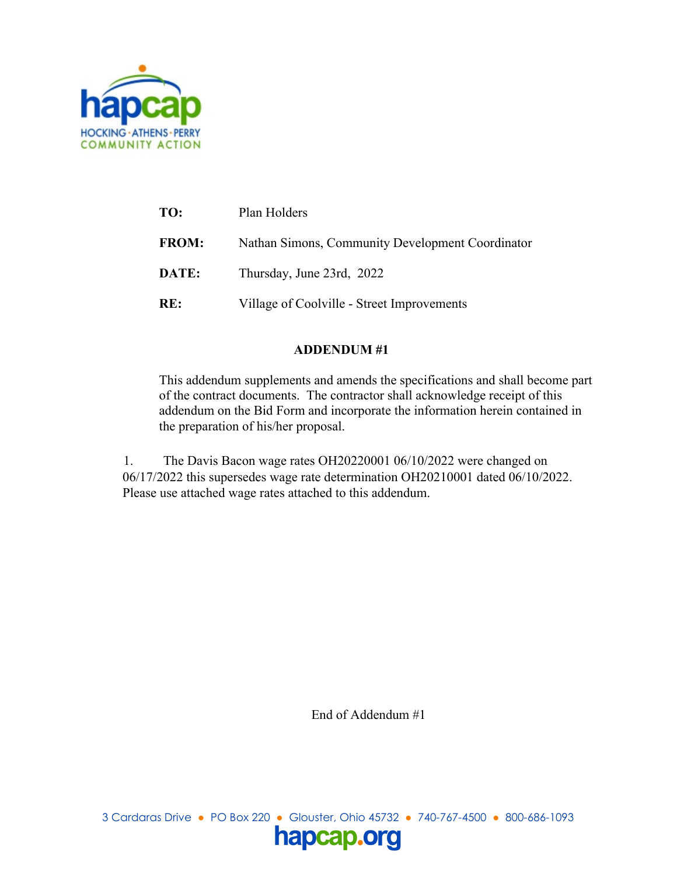

| TO:          | Plan Holders                                     |
|--------------|--------------------------------------------------|
| <b>FROM:</b> | Nathan Simons, Community Development Coordinator |
| DATE:        | Thursday, June 23rd, 2022                        |
| RE:          | Village of Coolville - Street Improvements       |

# **ADDENDUM #1**

This addendum supplements and amends the specifications and shall become part of the contract documents. The contractor shall acknowledge receipt of this addendum on the Bid Form and incorporate the information herein contained in the preparation of his/her proposal.

1. The Davis Bacon wage rates OH20220001 06/10/2022 were changed on 06/17/2022 this supersedes wage rate determination OH20210001 dated 06/10/2022. Please use attached wage rates attached to this addendum.

End of Addendum #1

3 Cardaras Drive ● PO Box 220 ● Glouster, Ohio 45732 ● 740-767-4500 ● 800-686-1093 hapcap.org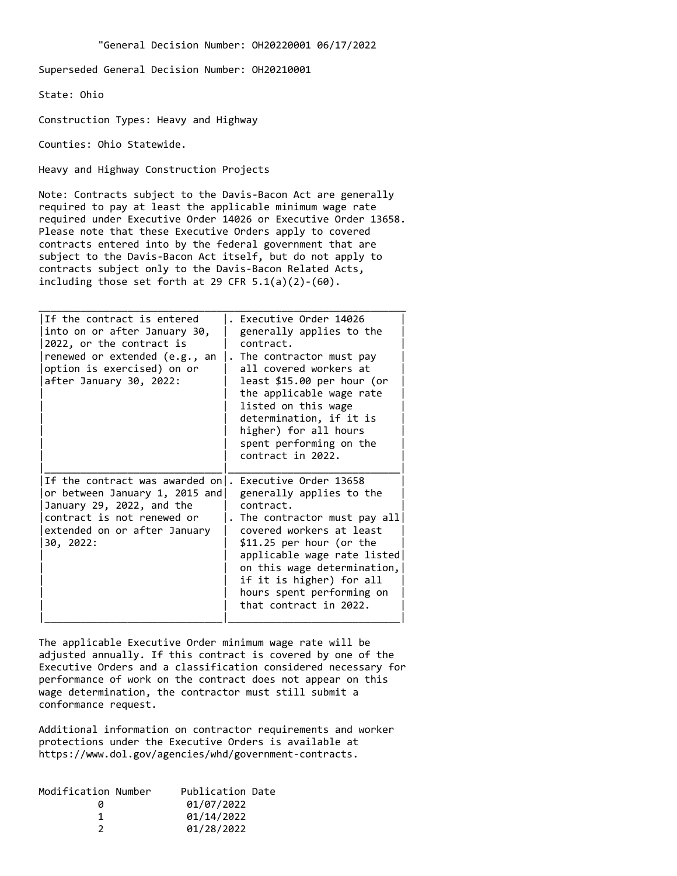Superseded General Decision Number: OH20210001

State: Ohio

Construction Types: Heavy and Highway

Counties: Ohio Statewide.

Heavy and Highway Construction Projects

Note: Contracts subject to the Davis-Bacon Act are generally required to pay at least the applicable minimum wage rate required under Executive Order 14026 or Executive Order 13658. Please note that these Executive Orders apply to covered contracts entered into by the federal government that are subject to the Davis-Bacon Act itself, but do not apply to contracts subject only to the Davis-Bacon Related Acts, including those set forth at 29 CFR  $5.1(a)(2)-(60)$ .

| If the contract is entered<br>into on or after January 30,<br>2022, or the contract is<br>renewed or extended (e.g., an<br>option is exercised) on or<br>after January 30, 2022: | Executive Order 14026<br>generally applies to the<br>contract.<br>. The contractor must pay<br>all covered workers at<br>least \$15.00 per hour (or<br>the applicable wage rate<br>listed on this wage<br>determination, if it is<br>higher) for all hours<br>spent performing on the<br>contract in 2022. |
|----------------------------------------------------------------------------------------------------------------------------------------------------------------------------------|------------------------------------------------------------------------------------------------------------------------------------------------------------------------------------------------------------------------------------------------------------------------------------------------------------|
| If the contract was awarded on .<br>or between January 1, 2015 and<br>January 29, 2022, and the<br>contract is not renewed or<br>extended on or after January<br>30, 2022:       | Executive Order 13658<br>generally applies to the<br>contract.<br>. The contractor must pay all<br>covered workers at least<br>$$11.25$ per hour (or the<br>applicable wage rate listed<br>on this wage determination,<br>if it is higher) for all<br>hours spent performing on<br>that contract in 2022.  |

The applicable Executive Order minimum wage rate will be adjusted annually. If this contract is covered by one of the Executive Orders and a classification considered necessary for performance of work on the contract does not appear on this wage determination, the contractor must still submit a conformance request.

Additional information on contractor requirements and worker protections under the Executive Orders is available at https://www.dol.gov/agencies/whd/government-contracts.

| 01/07/2022          |                  |
|---------------------|------------------|
| 01/14/2022          |                  |
| 01/28/2022          |                  |
| Modification Number | Publication Date |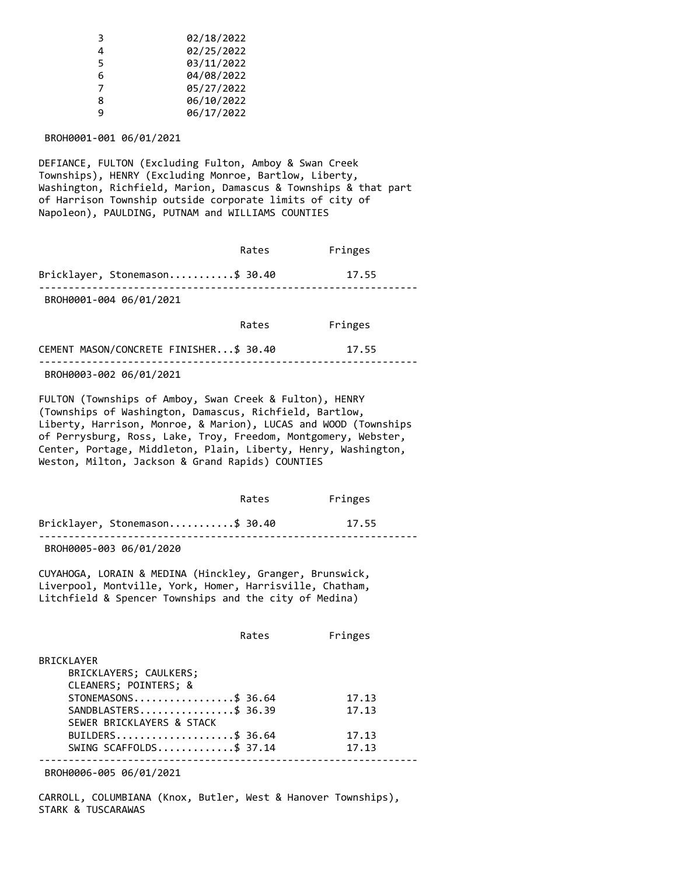| ξ | 02/18/2022 |
|---|------------|
| 4 | 02/25/2022 |
| 5 | 03/11/2022 |
| 6 | 04/08/2022 |
|   | 05/27/2022 |
| 8 | 06/10/2022 |
| q | 06/17/2022 |
|   |            |

BROH0001-001 06/01/2021

DEFIANCE, FULTON (Excluding Fulton, Amboy & Swan Creek Townships), HENRY (Excluding Monroe, Bartlow, Liberty, Washington, Richfield, Marion, Damascus & Townships & that part of Harrison Township outside corporate limits of city of Napoleon), PAULDING, PUTNAM and WILLIAMS COUNTIES

|                                         | Rates | Fringes |  |
|-----------------------------------------|-------|---------|--|
| Bricklayer, Stonemason\$ 30.40          |       | 17.55   |  |
| BROH0001-004 06/01/2021                 |       |         |  |
|                                         | Rates | Fringes |  |
| CEMENT MASON/CONCRETE FINISHER \$ 30.40 |       | 17.55   |  |
| BROH0003-002 06/01/2021                 |       |         |  |

FULTON (Townships of Amboy, Swan Creek & Fulton), HENRY (Townships of Washington, Damascus, Richfield, Bartlow, Liberty, Harrison, Monroe, & Marion), LUCAS and WOOD (Townships of Perrysburg, Ross, Lake, Troy, Freedom, Montgomery, Webster, Center, Portage, Middleton, Plain, Liberty, Henry, Washington, Weston, Milton, Jackson & Grand Rapids) COUNTIES

|                                | Rates | Fringes |
|--------------------------------|-------|---------|
| Bricklayer, Stonemason\$ 30.40 |       | 17.55   |
|                                |       |         |

BROH0005-003 06/01/2020

CUYAHOGA, LORAIN & MEDINA (Hinckley, Granger, Brunswick, Liverpool, Montville, York, Homer, Harrisville, Chatham, Litchfield & Spencer Townships and the city of Medina)

|                           | Rates | Fringes |
|---------------------------|-------|---------|
| <b>BRICKLAYER</b>         |       |         |
| BRICKLAYERS; CAULKERS;    |       |         |
| CLEANERS; POINTERS; &     |       |         |
| STONEMASONS\$ 36.64       |       | 17.13   |
| SANDBLASTERS\$ 36.39      |       | 17.13   |
| SEWER BRICKLAYERS & STACK |       |         |
| BUILDERS\$ 36.64          |       | 17.13   |
| SWING SCAFFOLDS\$ 37.14   |       | 17.13   |
|                           |       |         |

BROH0006-005 06/01/2021

CARROLL, COLUMBIANA (Knox, Butler, West & Hanover Townships), STARK & TUSCARAWAS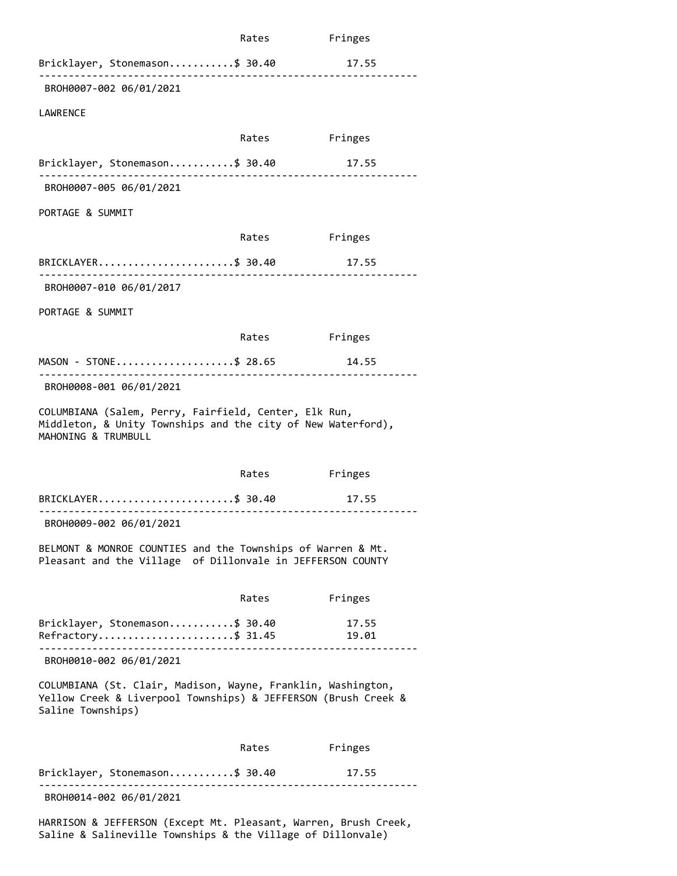|                                                                                                                                                     | Rates | Fringes        |  |
|-----------------------------------------------------------------------------------------------------------------------------------------------------|-------|----------------|--|
| Bricklayer, Stonemason\$ 30.40                                                                                                                      |       | 17.55          |  |
| BROH0007-002 06/01/2021                                                                                                                             |       | .              |  |
| <b>LAWRENCE</b>                                                                                                                                     |       |                |  |
|                                                                                                                                                     | Rates | Fringes        |  |
| Bricklayer, Stonemason\$ 30.40                                                                                                                      |       | 17.55          |  |
| BROH0007-005 06/01/2021                                                                                                                             |       |                |  |
| PORTAGE & SUMMIT                                                                                                                                    |       |                |  |
|                                                                                                                                                     | Rates | Fringes        |  |
| BRICKLAYER\$ 30.40                                                                                                                                  |       | 17.55          |  |
| .<br>BROH0007-010 06/01/2017                                                                                                                        |       |                |  |
| PORTAGE & SUMMIT                                                                                                                                    |       |                |  |
|                                                                                                                                                     |       |                |  |
|                                                                                                                                                     | Rates | Fringes        |  |
| MASON - STONE\$ 28.65                                                                                                                               |       | 14.55          |  |
| BROH0008-001 06/01/2021                                                                                                                             |       |                |  |
| COLUMBIANA (Salem, Perry, Fairfield, Center, Elk Run,<br>Middleton, & Unity Townships and the city of New Waterford),<br>MAHONING & TRUMBULL        |       |                |  |
|                                                                                                                                                     | Rates | Fringes        |  |
| BRICKLAYER\$ 30.40                                                                                                                                  |       | 17.55          |  |
| BROH0009-002 06/01/2021                                                                                                                             |       |                |  |
| BELMONT & MONROE COUNTIES and the Townships of Warren & Mt.<br>Pleasant and the Village of Dillonvale in JEFFERSON COUNTY                           |       |                |  |
|                                                                                                                                                     | Rates | Fringes        |  |
| Bricklayer, Stonemason\$ 30.40<br>Refractory\$ 31.45                                                                                                |       | 17.55<br>19.01 |  |
| BROH0010-002 06/01/2021                                                                                                                             |       |                |  |
| COLUMBIANA (St. Clair, Madison, Wayne, Franklin, Washington,<br>Yellow Creek & Liverpool Townships) & JEFFERSON (Brush Creek &<br>Saline Townships) |       |                |  |
|                                                                                                                                                     | Rates | Fringes        |  |
| Bricklayer, Stonemason\$ 30.40                                                                                                                      |       | 17.55          |  |
| BROH0014-002 06/01/2021                                                                                                                             |       |                |  |
| HARRISON & JEFFERSON (Except Mt. Pleasant, Warren, Brush Creek,                                                                                     |       |                |  |

Saline & Salineville Townships & the Village of Dillonvale)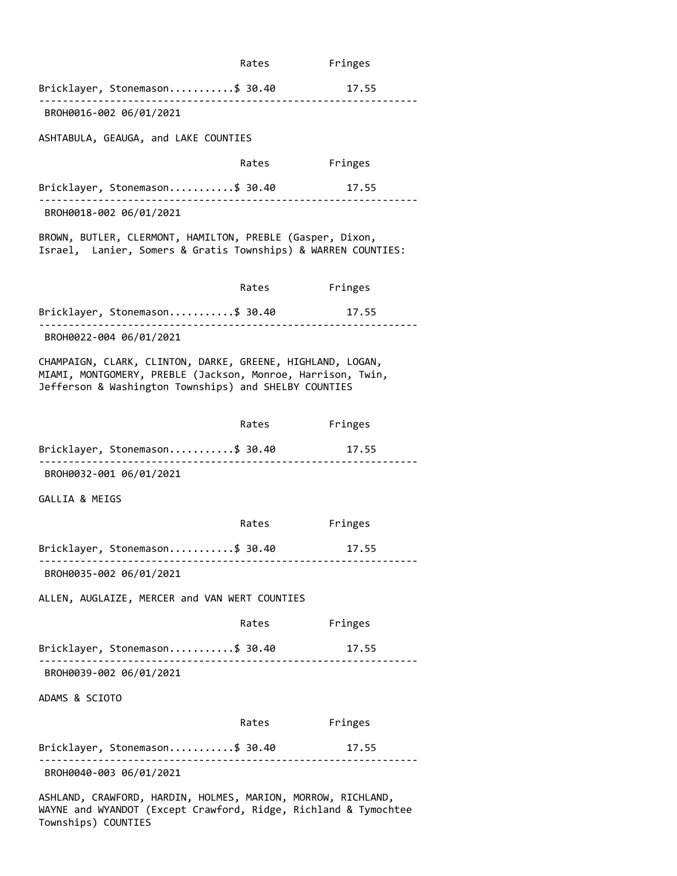|                                                                                                                                                                                    | Rates        | Fringes                                    |
|------------------------------------------------------------------------------------------------------------------------------------------------------------------------------------|--------------|--------------------------------------------|
| Bricklayer, Stonemason\$ 30.40<br>. <u>_ _ _ _ _ _ _ _ _ _ _ _ _ _ _</u> _ _                                                                                                       |              | 17.55                                      |
| BROH0016-002 06/01/2021                                                                                                                                                            |              |                                            |
| ASHTABULA, GEAUGA, and LAKE COUNTIES                                                                                                                                               |              |                                            |
|                                                                                                                                                                                    | Rates        | Fringes                                    |
| Bricklayer, Stonemason\$ 30.40<br>.<br>BROH0018-002 06/01/2021                                                                                                                     |              | 17.55                                      |
| BROWN, BUTLER, CLERMONT, HAMILTON, PREBLE (Gasper, Dixon,<br>Israel, Lanier, Somers & Gratis Townships) & WARREN COUNTIES:                                                         |              |                                            |
|                                                                                                                                                                                    | Rates        | Fringes                                    |
| Bricklayer, Stonemason\$ 30.40<br>BROH0022-004 06/01/2021                                                                                                                          |              | 17.55                                      |
| CHAMPAIGN, CLARK, CLINTON, DARKE, GREENE, HIGHLAND, LOGAN,<br>MIAMI, MONTGOMERY, PREBLE (Jackson, Monroe, Harrison, Twin,<br>Jefferson & Washington Townships) and SHELBY COUNTIES |              |                                            |
|                                                                                                                                                                                    | Rates        | Fringes                                    |
| Bricklayer, Stonemason\$ 30.40                                                                                                                                                     |              | 17.55                                      |
| BROH0032-001 06/01/2021                                                                                                                                                            |              |                                            |
| GALLIA & MEIGS                                                                                                                                                                     |              |                                            |
|                                                                                                                                                                                    | Rates        | Fringes                                    |
| Bricklayer, Stonemason\$ 30.40                                                                                                                                                     |              | 17.55                                      |
| BROH0035-002 06/01/2021                                                                                                                                                            |              |                                            |
| ALLEN, AUGLAIZE, MERCER and VAN WERT COUNTIES                                                                                                                                      |              |                                            |
|                                                                                                                                                                                    | Rates        | Fringes                                    |
| Bricklayer, Stonemason\$ 30.40                                                                                                                                                     | . <b>.</b> . | 17.55<br>. _ _ _ _ _ _ _ _ _ _ _ _ _ _ _ _ |
| BROH0039-002 06/01/2021                                                                                                                                                            |              |                                            |
| ADAMS & SCIOTO                                                                                                                                                                     |              |                                            |
|                                                                                                                                                                                    |              | Rates Fringes                              |
| Bricklayer, Stonemason\$ 30.40<br>BROH0040-003 06/01/2021                                                                                                                          |              | 17.55                                      |
| ASHLAND, CRAWFORD, HARDIN, HOLMES, MARION, MORROW, RICHLAND,                                                                                                                       |              |                                            |

WAYNE and WYANDOT (Except Crawford, Ridge, Richland & Tymochtee Townships) COUNTIES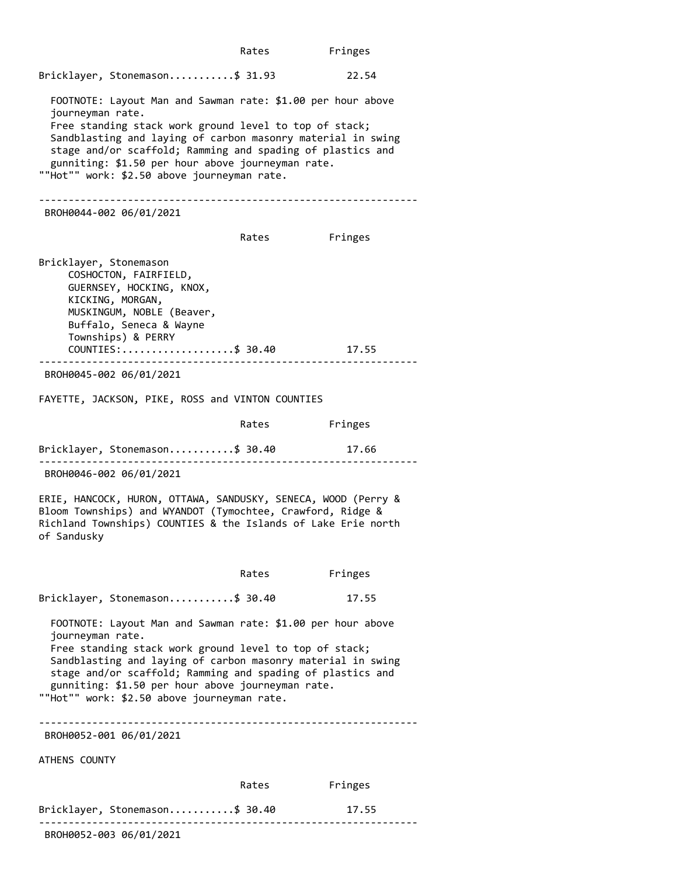Rates Fringes Bricklayer, Stonemason...........\$ 31.93 22.54 FOOTNOTE: Layout Man and Sawman rate: \$1.00 per hour above journeyman rate. Free standing stack work ground level to top of stack; Sandblasting and laying of carbon masonry material in swing stage and/or scaffold; Ramming and spading of plastics and gunniting: \$1.50 per hour above journeyman rate. ""Hot"" work: \$2.50 above journeyman rate. ---------------------------------------------------------------- BROH0044-002 06/01/2021 Rates Fringes Bricklayer, Stonemason COSHOCTON, FAIRFIELD, GUERNSEY, HOCKING, KNOX, KICKING, MORGAN, MUSKINGUM, NOBLE (Beaver, Buffalo, Seneca & Wayne Townships) & PERRY COUNTIES:...................\$ 30.40 17.55 ---------------------------------------------------------------- BROH0045-002 06/01/2021 FAYETTE, JACKSON, PIKE, ROSS and VINTON COUNTIES Rates Fringes Bricklayer, Stonemason...........\$ 30.40 17.66 ---------------------------------------------------------------- BROH0046-002 06/01/2021 ERIE, HANCOCK, HURON, OTTAWA, SANDUSKY, SENECA, WOOD (Perry & Bloom Townships) and WYANDOT (Tymochtee, Crawford, Ridge & Richland Townships) COUNTIES & the Islands of Lake Erie north of Sandusky Rates Fringes Bricklayer, Stonemason...........\$ 30.40 17.55 FOOTNOTE: Layout Man and Sawman rate: \$1.00 per hour above journeyman rate. Free standing stack work ground level to top of stack; Sandblasting and laying of carbon masonry material in swing stage and/or scaffold; Ramming and spading of plastics and gunniting: \$1.50 per hour above journeyman rate. ""Hot"" work: \$2.50 above journeyman rate. ---------------------------------------------------------------- BROH0052-001 06/01/2021 ATHENS COUNTY Rates Fringes Bricklayer, Stonemason...........\$ 30.40 17.55 ----------------------------------------------------------------

BROH0052-003 06/01/2021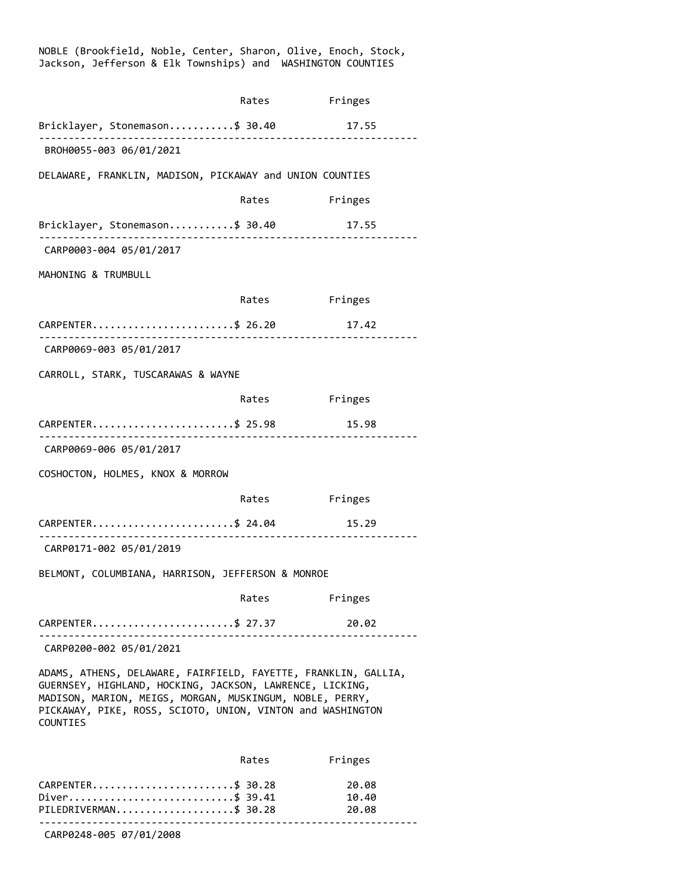| Jackson, Jefferson & Elk Townships) and WASHINGTON COUNTIES                                                                                                                                                                                                      |               |                         |  |
|------------------------------------------------------------------------------------------------------------------------------------------------------------------------------------------------------------------------------------------------------------------|---------------|-------------------------|--|
|                                                                                                                                                                                                                                                                  | Rates         | Fringes                 |  |
| Bricklayer, Stonemason\$ 30.40<br>BROH0055-003 06/01/2021                                                                                                                                                                                                        |               | 17.55                   |  |
| DELAWARE, FRANKLIN, MADISON, PICKAWAY and UNION COUNTIES                                                                                                                                                                                                         |               |                         |  |
|                                                                                                                                                                                                                                                                  | Rates Fringes |                         |  |
| Bricklayer, Stonemason\$ 30.40                                                                                                                                                                                                                                   |               | 17.55                   |  |
| CARP0003-004 05/01/2017                                                                                                                                                                                                                                          |               |                         |  |
| MAHONING & TRUMBULL                                                                                                                                                                                                                                              |               |                         |  |
|                                                                                                                                                                                                                                                                  | Rates Fringes |                         |  |
| CARPENTER\$ 26.20                                                                                                                                                                                                                                                |               | 17.42                   |  |
| CARP0069-003 05/01/2017                                                                                                                                                                                                                                          |               |                         |  |
| CARROLL, STARK, TUSCARAWAS & WAYNE                                                                                                                                                                                                                               |               |                         |  |
|                                                                                                                                                                                                                                                                  | Rates Fringes |                         |  |
| CARPENTER\$ 25.98                                                                                                                                                                                                                                                | .             | 15.98                   |  |
| CARP0069-006 05/01/2017                                                                                                                                                                                                                                          |               |                         |  |
| COSHOCTON, HOLMES, KNOX & MORROW                                                                                                                                                                                                                                 |               |                         |  |
|                                                                                                                                                                                                                                                                  | Rates         | Fringes                 |  |
| CARPENTER\$ 24.04<br>CARP0171-002 05/01/2019                                                                                                                                                                                                                     |               | 15.29                   |  |
| BELMONT, COLUMBIANA, HARRISON, JEFFERSON & MONROE                                                                                                                                                                                                                |               |                         |  |
|                                                                                                                                                                                                                                                                  | Rates         | Fringes                 |  |
| CARPENTER\$ 27.37                                                                                                                                                                                                                                                |               | 20.02                   |  |
| CARP0200-002 05/01/2021                                                                                                                                                                                                                                          |               |                         |  |
| ADAMS, ATHENS, DELAWARE, FAIRFIELD, FAYETTE, FRANKLIN, GALLIA,<br>GUERNSEY, HIGHLAND, HOCKING, JACKSON, LAWRENCE, LICKING,<br>MADISON, MARION, MEIGS, MORGAN, MUSKINGUM, NOBLE, PERRY,<br>PICKAWAY, PIKE, ROSS, SCIOTO, UNION, VINTON and WASHINGTON<br>COUNTIES |               |                         |  |
|                                                                                                                                                                                                                                                                  | Rates         | Fringes                 |  |
| CARPENTER\$ 30.28<br>Diver\$ 39.41<br>PILEDRIVERMAN\$ 30.28                                                                                                                                                                                                      |               | 20.08<br>10.40<br>20.08 |  |

NOBLE (Brookfield, Noble, Center, Sharon, Olive, Enoch, Stock,

CARP0248-005 07/01/2008

<sup>----------------------------------------------------------------</sup>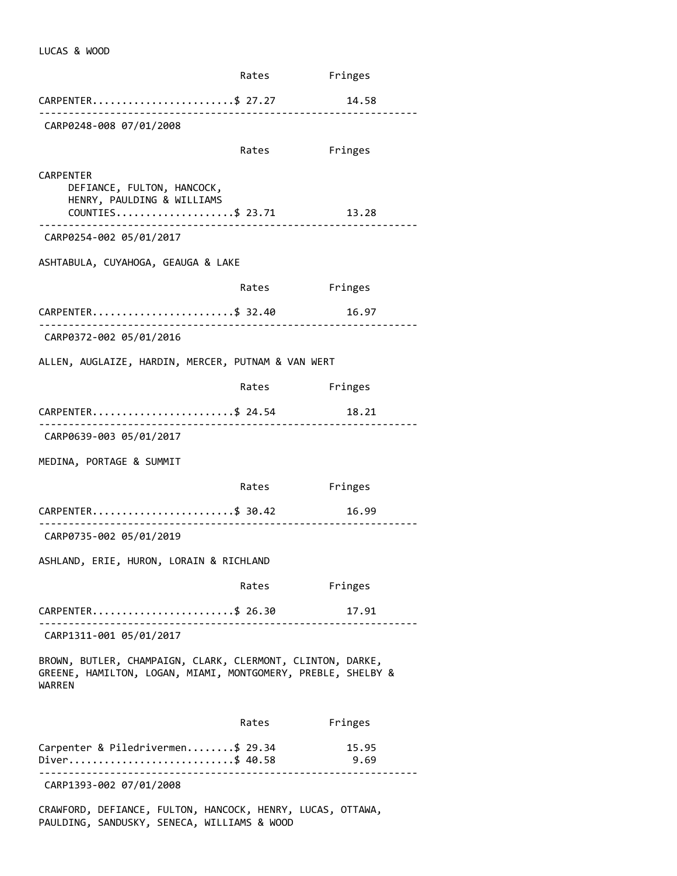|                                                                                                                                            | Rates Fringes |               |
|--------------------------------------------------------------------------------------------------------------------------------------------|---------------|---------------|
| CARPENTER\$ 27.27                                                                                                                          |               | 14.58         |
| CARP0248-008 07/01/2008                                                                                                                    |               |               |
|                                                                                                                                            | Rates         | Fringes       |
| <b>CARPENTER</b><br>DEFIANCE, FULTON, HANCOCK,<br>HENRY, PAULDING & WILLIAMS<br>$COUNTIES \ldots \ldots \ldots \ldots \ldots \quad $23.71$ |               | 13.28         |
| CARP0254-002 05/01/2017                                                                                                                    |               |               |
| ASHTABULA, CUYAHOGA, GEAUGA & LAKE                                                                                                         |               |               |
|                                                                                                                                            | Rates         | Fringes       |
| CARPENTER\$ 32.40<br><u>-------------------------</u>                                                                                      |               | 16.97         |
| CARP0372-002 05/01/2016                                                                                                                    |               |               |
| ALLEN, AUGLAIZE, HARDIN, MERCER, PUTNAM & VAN WERT                                                                                         |               |               |
|                                                                                                                                            | Rates         | Fringes       |
| CARPENTER\$ 24.54                                                                                                                          |               | 18.21         |
| CARP0639-003 05/01/2017                                                                                                                    |               |               |
| MEDINA, PORTAGE & SUMMIT                                                                                                                   |               |               |
|                                                                                                                                            | Rates Fringes |               |
| CARPENTER\$ 30.42                                                                                                                          |               | 16.99         |
| CARP0735-002 05/01/2019                                                                                                                    |               |               |
| ASHLAND, ERIE, HURON, LORAIN & RICHLAND                                                                                                    |               |               |
|                                                                                                                                            | Rates         | Fringes       |
| CARPENTER\$ 26.30                                                                                                                          |               | 17.91         |
| CARP1311-001 05/01/2017                                                                                                                    |               |               |
| BROWN, BUTLER, CHAMPAIGN, CLARK, CLERMONT, CLINTON, DARKE,<br>GREENE, HAMILTON, LOGAN, MIAMI, MONTGOMERY, PREBLE, SHELBY &<br>WARREN       |               |               |
|                                                                                                                                            | Rates         | Fringes       |
| Carpenter & Piledrivermen\$ 29.34<br>Diver\$ 40.58                                                                                         |               | 15.95<br>9.69 |
| CARP1393-002 07/01/2008                                                                                                                    |               |               |
| CRAWFORD, DEFIANCE, FULTON, HANCOCK, HENRY, LUCAS, OTTAWA,<br>PAULDING, SANDUSKY, SENECA, WILLIAMS & WOOD                                  |               |               |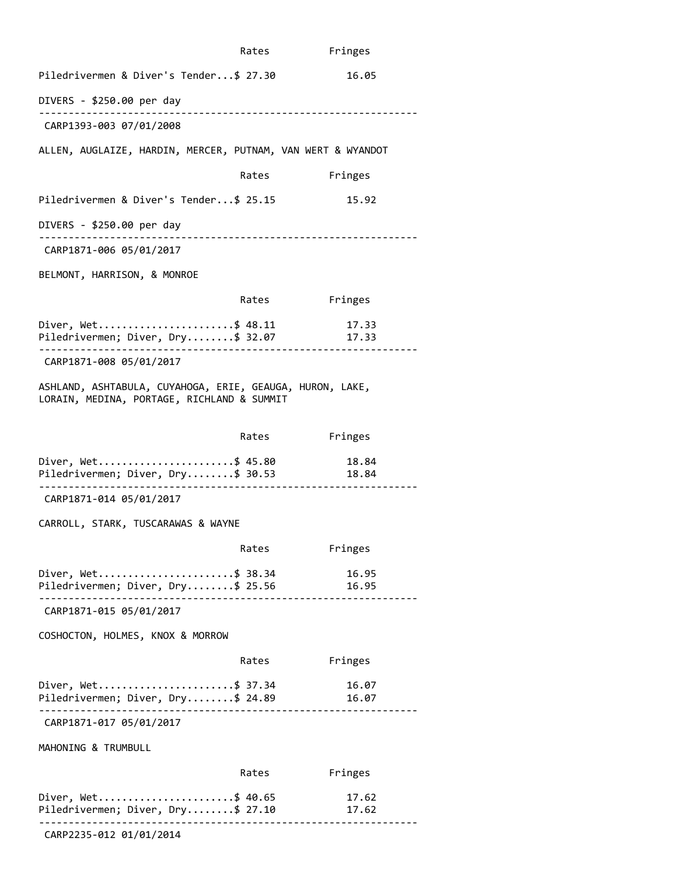|                                                                                                                   | Rates         | Fringes        |
|-------------------------------------------------------------------------------------------------------------------|---------------|----------------|
| Piledrivermen & Diver's Tender\$ 27.30                                                                            |               | 16.05          |
| DIVERS - \$250.00 per day                                                                                         |               |                |
| CARP1393-003 07/01/2008                                                                                           |               |                |
| ALLEN, AUGLAIZE, HARDIN, MERCER, PUTNAM, VAN WERT & WYANDOT                                                       |               |                |
|                                                                                                                   | Rates Fringes |                |
| Piledrivermen & Diver's Tender\$ 25.15                                                                            |               | 15.92          |
| DIVERS - \$250.00 per day                                                                                         |               |                |
| CARP1871-006 05/01/2017                                                                                           |               |                |
| BELMONT, HARRISON, & MONROE                                                                                       |               |                |
|                                                                                                                   | Rates         | Fringes        |
| Diver, Wet\$ 48.11<br>Piledrivermen; Diver, Dry\$ 32.07<br>. _ _ _ _ _ _ _ _ _ _ _ _ _                            |               | 17.33<br>17.33 |
| CARP1871-008 05/01/2017                                                                                           |               |                |
| ASHLAND, ASHTABULA, CUYAHOGA, ERIE, GEAUGA, HURON, LAKE,<br>LORAIN, MEDINA, PORTAGE, RICHLAND & SUMMIT            |               |                |
|                                                                                                                   | Rates         | Fringes        |
| Diver, Wet\$ 45.80 18.84<br>Piledrivermen; Diver, Dry\$ 30.53 18.84                                               |               |                |
| -----------------------<br>CARP1871-014 05/01/2017                                                                |               |                |
| CARROLL, STARK, TUSCARAWAS & WAYNE                                                                                |               |                |
|                                                                                                                   | Rates         | Fringes        |
| Diver, Wet\$ 38.34<br>Piledrivermen; Diver, Dry\$ 25.56 16.95<br>. <u>_ _ _ _ _ _ _ _ _ _ _ _ _ _ _ _ _ _</u> _ _ |               | 16.95          |
| CARP1871-015 05/01/2017                                                                                           |               |                |
| COSHOCTON, HOLMES, KNOX & MORROW                                                                                  |               |                |
|                                                                                                                   | Rates         | Fringes        |
| Diver, Wet\$ 37.34<br>Piledrivermen; Diver, Dry\$ 24.89                                                           |               | 16.07<br>16.07 |
| CARP1871-017 05/01/2017                                                                                           |               |                |
| MAHONING & TRUMBULL                                                                                               |               |                |
|                                                                                                                   | Rates         | Fringes        |
| Diver, Wet\$ 40.65<br>Piledrivermen; Diver, Dry\$ 27.10                                                           |               | 17.62<br>17.62 |
| CARP2235-012 01/01/2014                                                                                           |               |                |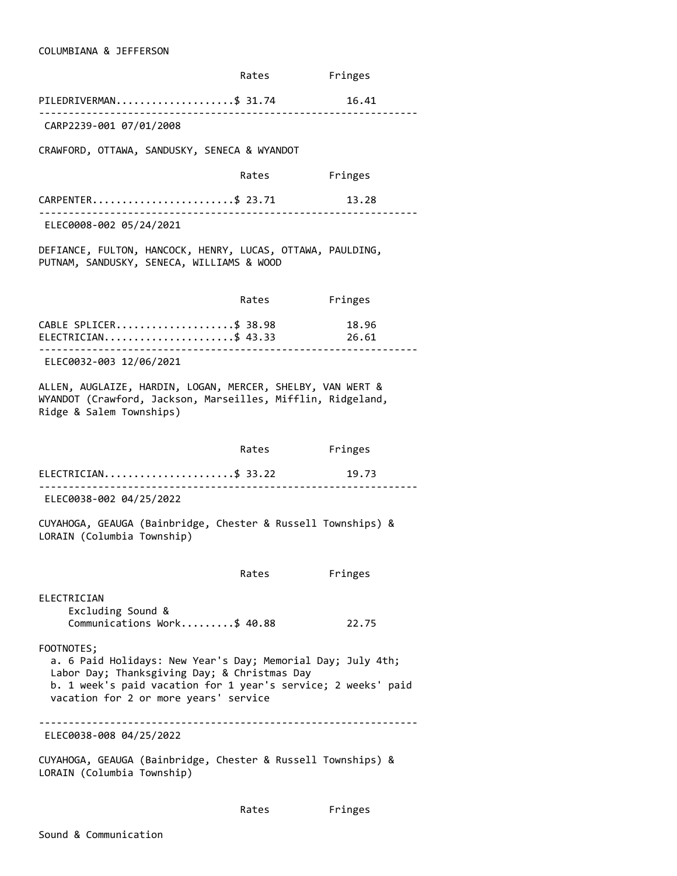### COLUMBIANA & JEFFERSON

|                                                                                                                                                                                                                                     | Rates                                 | Fringes |
|-------------------------------------------------------------------------------------------------------------------------------------------------------------------------------------------------------------------------------------|---------------------------------------|---------|
| PILEDRIVERMAN\$ 31.74                                                                                                                                                                                                               |                                       | 16.41   |
| CARP2239-001 07/01/2008                                                                                                                                                                                                             |                                       |         |
| CRAWFORD, OTTAWA, SANDUSKY, SENECA & WYANDOT                                                                                                                                                                                        |                                       |         |
|                                                                                                                                                                                                                                     | Rates                                 | Fringes |
| CARPENTER\$ 23.71                                                                                                                                                                                                                   |                                       | 13.28   |
| ELEC0008-002 05/24/2021                                                                                                                                                                                                             |                                       |         |
| DEFIANCE, FULTON, HANCOCK, HENRY, LUCAS, OTTAWA, PAULDING,<br>PUTNAM, SANDUSKY, SENECA, WILLIAMS & WOOD                                                                                                                             |                                       |         |
|                                                                                                                                                                                                                                     | Rates                                 | Fringes |
| CABLE SPLICER\$ 38.98 18.96<br>ELECTRICIAN\$ 43.33                                                                                                                                                                                  | <u> - - - - - - - - - - - - - - -</u> | 26.61   |
| ELEC0032-003 12/06/2021                                                                                                                                                                                                             |                                       |         |
| ALLEN, AUGLAIZE, HARDIN, LOGAN, MERCER, SHELBY, VAN WERT &<br>WYANDOT (Crawford, Jackson, Marseilles, Mifflin, Ridgeland,<br>Ridge & Salem Townships)                                                                               |                                       |         |
|                                                                                                                                                                                                                                     | Rates                                 | Fringes |
| ELECTRICIAN\$ 33.22                                                                                                                                                                                                                 |                                       | 19.73   |
| ELEC0038-002 04/25/2022                                                                                                                                                                                                             |                                       |         |
| CUYAHOGA, GEAUGA (Bainbridge, Chester & Russell Townships) &<br>LORAIN (Columbia Township)                                                                                                                                          |                                       |         |
|                                                                                                                                                                                                                                     | Rates                                 | Fringes |
| ELECTRICIAN<br>Excluding Sound &<br>Communications Work\$ 40.88                                                                                                                                                                     |                                       | 22.75   |
| FOOTNOTES;<br>a. 6 Paid Holidays: New Year's Day; Memorial Day; July 4th;<br>Labor Day; Thanksgiving Day; & Christmas Day<br>b. 1 week's paid vacation for 1 year's service; 2 weeks' paid<br>vacation for 2 or more years' service |                                       |         |
| ELEC0038-008 04/25/2022                                                                                                                                                                                                             | ------------------------------------  |         |
| CUYAHOGA, GEAUGA (Bainbridge, Chester & Russell Townships) &<br>LORAIN (Columbia Township)                                                                                                                                          |                                       |         |

Rates Fringes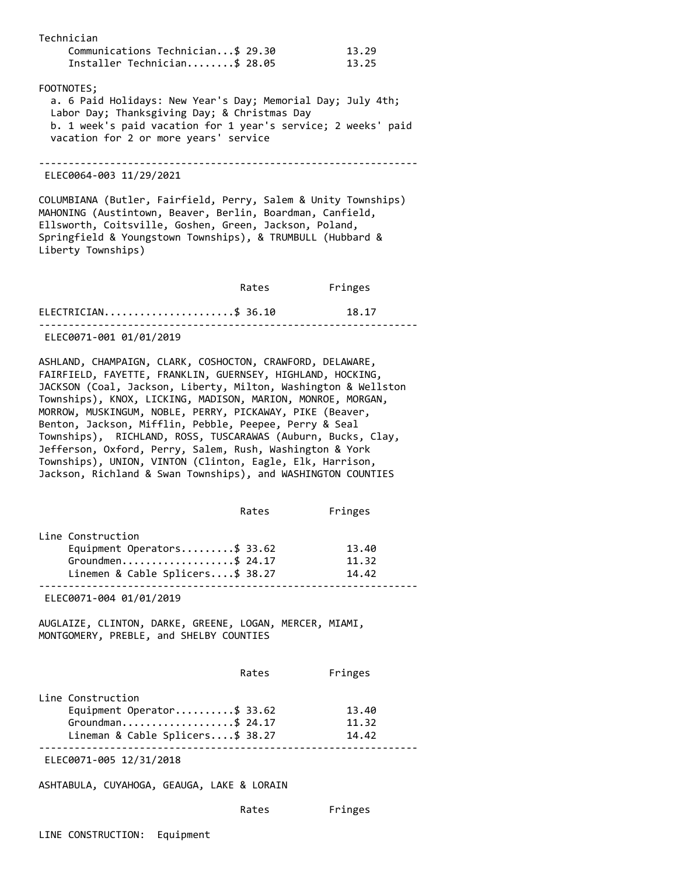| Technician<br>Communications Technician\$ 29.30<br>Installer Technician\$ 28.05                                                                                                                                                                                           |       | 13.29<br>13.25 |
|---------------------------------------------------------------------------------------------------------------------------------------------------------------------------------------------------------------------------------------------------------------------------|-------|----------------|
| FOOTNOTES;<br>a. 6 Paid Holidays: New Year's Day; Memorial Day; July 4th;<br>Labor Day; Thanksgiving Day; & Christmas Day<br>b. 1 week's paid vacation for 1 year's service; 2 weeks' paid<br>vacation for 2 or more years' service                                       |       |                |
| ELEC0064-003 11/29/2021                                                                                                                                                                                                                                                   |       |                |
| COLUMBIANA (Butler, Fairfield, Perry, Salem & Unity Townships)<br>MAHONING (Austintown, Beaver, Berlin, Boardman, Canfield,<br>Ellsworth, Coitsville, Goshen, Green, Jackson, Poland,<br>Springfield & Youngstown Townships), & TRUMBULL (Hubbard &<br>Liberty Townships) |       |                |
|                                                                                                                                                                                                                                                                           | Rates | Fringes        |
| ELECTRICIAN\$ 36.10                                                                                                                                                                                                                                                       |       | 18.17          |
| ELEC0071-001 01/01/2019                                                                                                                                                                                                                                                   |       |                |

ASHLAND, CHAMPAIGN, CLARK, COSHOCTON, CRAWFORD, DELAWARE, FAIRFIELD, FAYETTE, FRANKLIN, GUERNSEY, HIGHLAND, HOCKING, JACKSON (Coal, Jackson, Liberty, Milton, Washington & Wellston Townships), KNOX, LICKING, MADISON, MARION, MONROE, MORGAN, MORROW, MUSKINGUM, NOBLE, PERRY, PICKAWAY, PIKE (Beaver, Benton, Jackson, Mifflin, Pebble, Peepee, Perry & Seal Townships), RICHLAND, ROSS, TUSCARAWAS (Auburn, Bucks, Clay, Jefferson, Oxford, Perry, Salem, Rush, Washington & York Townships), UNION, VINTON (Clinton, Eagle, Elk, Harrison, Jackson, Richland & Swan Townships), and WASHINGTON COUNTIES

|                                  | Rates | Fringes |
|----------------------------------|-------|---------|
| Line Construction                |       |         |
| Equipment Operators\$ 33.62      |       | 13.40   |
| Groundmen\$ 24.17                |       | 11.32   |
| Linemen & Cable Splicers\$ 38.27 |       | 14.42   |
|                                  |       |         |

ELEC0071-004 01/01/2019

AUGLAIZE, CLINTON, DARKE, GREENE, LOGAN, MERCER, MIAMI, MONTGOMERY, PREBLE, and SHELBY COUNTIES

|                                  | Rates | Fringes |
|----------------------------------|-------|---------|
| Line Construction                |       |         |
| Equipment Operator\$ 33.62       |       | 13.40   |
| Groundman\$ 24.17                |       | 11.32   |
| Lineman & Cable Splicers\$ 38.27 |       | 14.42   |
|                                  |       |         |

ELEC0071-005 12/31/2018

ASHTABULA, CUYAHOGA, GEAUGA, LAKE & LORAIN

| Rates | Fringes |
|-------|---------|
|       |         |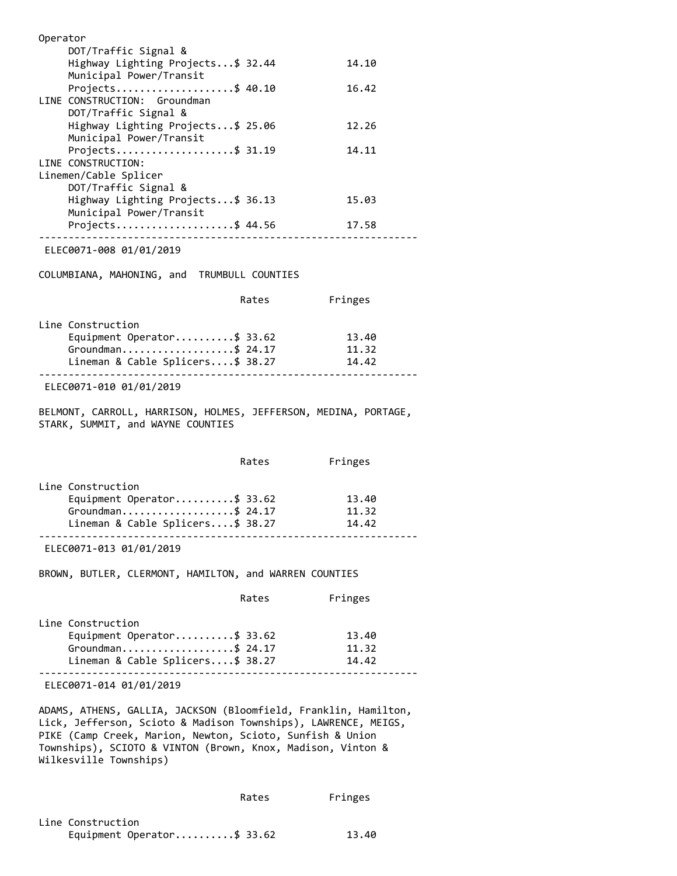| Operator                           |       |
|------------------------------------|-------|
| DOT/Traffic Signal &               |       |
| Highway Lighting Projects \$ 32.44 | 14.10 |
| Municipal Power/Transit            |       |
| Projects\$ 40.10                   | 16.42 |
| LINE CONSTRUCTION: Groundman       |       |
| DOT/Traffic Signal &               |       |
| Highway Lighting Projects\$ 25.06  | 12.26 |
| Municipal Power/Transit            |       |
| Projects\$ 31.19                   | 14.11 |
| LINE CONSTRUCTION:                 |       |
| Linemen/Cable Splicer              |       |
| DOT/Traffic Signal &               |       |
| Highway Lighting Projects\$ 36.13  | 15.03 |
| Municipal Power/Transit            |       |
| Projects\$ 44.56                   | 17.58 |
|                                    |       |

ELEC0071-008 01/01/2019

COLUMBIANA, MAHONING, and TRUMBULL COUNTIES

|                                  | Rates | Fringes |  |
|----------------------------------|-------|---------|--|
| Line Construction                |       |         |  |
| Equipment Operator\$ 33.62       |       | 13.40   |  |
| Groundman\$ 24.17                |       | 11.32   |  |
| Lineman & Cable Splicers\$ 38.27 |       | 14.42   |  |
| F1 F20074 040 04104 0040         |       |         |  |

ELEC0071-010 01/01/2019

BELMONT, CARROLL, HARRISON, HOLMES, JEFFERSON, MEDINA, PORTAGE, STARK, SUMMIT, and WAYNE COUNTIES

|                                  | Rates | Fringes |
|----------------------------------|-------|---------|
| Line Construction                |       |         |
| Equipment Operator\$ 33.62       |       | 13.40   |
| Groundman\$ 24.17                |       | 11.32   |
| Lineman & Cable Splicers\$ 38.27 |       | 14.42   |
|                                  |       |         |

ELEC0071-013 01/01/2019

BROWN, BUTLER, CLERMONT, HAMILTON, and WARREN COUNTIES

|                                  | Rates | Fringes |
|----------------------------------|-------|---------|
| Line Construction                |       |         |
| Equipment Operator\$ 33.62       |       | 13.40   |
| Groundman\$ 24.17                |       | 11.32   |
| Lineman & Cable Splicers\$ 38.27 |       | 14.42   |
|                                  |       |         |

ELEC0071-014 01/01/2019

ADAMS, ATHENS, GALLIA, JACKSON (Bloomfield, Franklin, Hamilton, Lick, Jefferson, Scioto & Madison Townships), LAWRENCE, MEIGS, PIKE (Camp Creek, Marion, Newton, Scioto, Sunfish & Union Townships), SCIOTO & VINTON (Brown, Knox, Madison, Vinton & Wilkesville Townships)

|                            | Rates | Fringes |
|----------------------------|-------|---------|
| Line Construction          |       |         |
| Equipment Operator\$ 33.62 |       | 13.40   |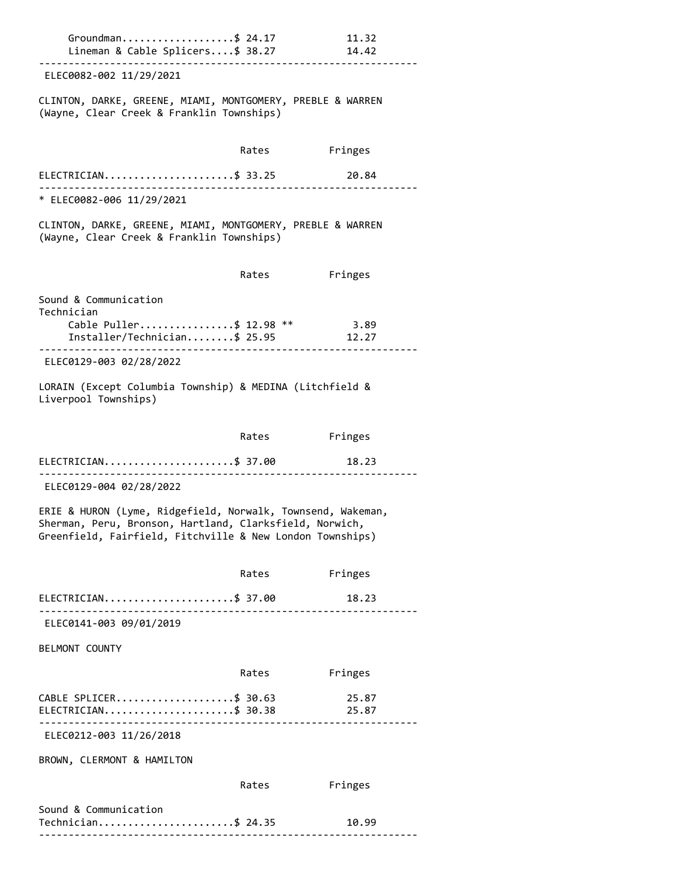| Groundman\$ 24.17<br>Lineman & Cable Splicers\$ 38.27                                                                                                                               |       | 11.32<br>14.42 |
|-------------------------------------------------------------------------------------------------------------------------------------------------------------------------------------|-------|----------------|
| ELEC0082-002 11/29/2021                                                                                                                                                             |       |                |
| CLINTON, DARKE, GREENE, MIAMI, MONTGOMERY, PREBLE & WARREN<br>(Wayne, Clear Creek & Franklin Townships)                                                                             |       |                |
|                                                                                                                                                                                     | Rates | Fringes        |
| ELECTRICIAN\$ 33.25                                                                                                                                                                 |       | 20.84          |
| * ELEC0082-006 11/29/2021                                                                                                                                                           |       |                |
| CLINTON, DARKE, GREENE, MIAMI, MONTGOMERY, PREBLE & WARREN<br>(Wayne, Clear Creek & Franklin Townships)                                                                             |       |                |
|                                                                                                                                                                                     | Rates | Fringes        |
| Sound & Communication<br>Technician                                                                                                                                                 |       |                |
| Cable Puller\$ 12.98 **<br>Installer/Technician\$ 25.95                                                                                                                             |       | 3.89<br>12.27  |
| ELEC0129-003 02/28/2022                                                                                                                                                             |       |                |
| LORAIN (Except Columbia Township) & MEDINA (Litchfield &<br>Liverpool Townships)                                                                                                    |       |                |
|                                                                                                                                                                                     | Rates | Fringes        |
| ELECTRICIAN\$ 37.00                                                                                                                                                                 |       | 18.23          |
| ELEC0129-004 02/28/2022                                                                                                                                                             |       |                |
| ERIE & HURON (Lyme, Ridgefield, Norwalk, Townsend, Wakeman,<br>Sherman, Peru, Bronson, Hartland, Clarksfield, Norwich,<br>Greenfield, Fairfield, Fitchville & New London Townships) |       |                |
|                                                                                                                                                                                     | Rates | Fringes        |
| ELECTRICIAN\$ 37.00                                                                                                                                                                 |       | 18.23          |
| ELEC0141-003 09/01/2019                                                                                                                                                             |       |                |
| BELMONT COUNTY                                                                                                                                                                      |       |                |
|                                                                                                                                                                                     | Rates | Fringes        |
| CABLE SPLICER\$ 30.63<br>$ELECTRICIAN$ \$ 30.38                                                                                                                                     |       | 25.87<br>25.87 |
| ELEC0212-003 11/26/2018                                                                                                                                                             |       |                |
| BROWN, CLERMONT & HAMILTON                                                                                                                                                          |       |                |
|                                                                                                                                                                                     | Rates | Fringes        |
| Sound & Communication<br>Technician\$ 24.35                                                                                                                                         |       | 10.99          |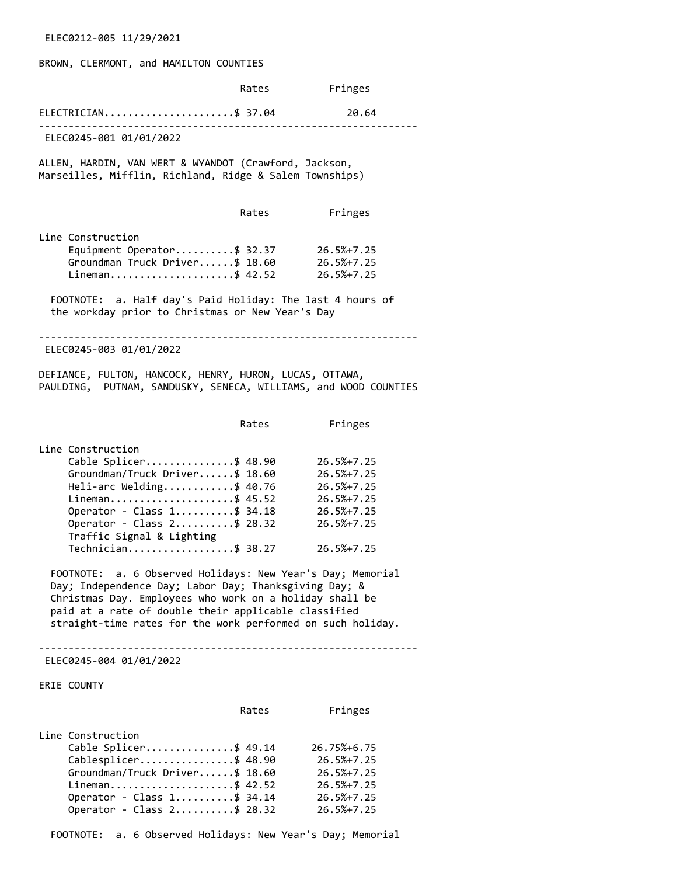ELEC0212-005 11/29/2021

## BROWN, CLERMONT, and HAMILTON COUNTIES

|             |                                                                                                                                                                                                                                                                                                                                                                                                                                                                                         | Rates | Fringes                                                                                                            |
|-------------|-----------------------------------------------------------------------------------------------------------------------------------------------------------------------------------------------------------------------------------------------------------------------------------------------------------------------------------------------------------------------------------------------------------------------------------------------------------------------------------------|-------|--------------------------------------------------------------------------------------------------------------------|
|             | ELECTRICIAN\$ 37.04                                                                                                                                                                                                                                                                                                                                                                                                                                                                     |       | 20.64                                                                                                              |
|             | ELEC0245-001 01/01/2022                                                                                                                                                                                                                                                                                                                                                                                                                                                                 |       |                                                                                                                    |
|             | ALLEN, HARDIN, VAN WERT & WYANDOT (Crawford, Jackson,<br>Marseilles, Mifflin, Richland, Ridge & Salem Townships)                                                                                                                                                                                                                                                                                                                                                                        |       |                                                                                                                    |
|             |                                                                                                                                                                                                                                                                                                                                                                                                                                                                                         | Rates | Fringes                                                                                                            |
|             | Line Construction<br>Equipment Operator\$ 32.37<br>Groundman Truck Driver\$ 18.60<br>Lineman\$ 42.52                                                                                                                                                                                                                                                                                                                                                                                    |       | 26.5%+7.25<br>$26.5% + 7.25$<br>26.5%+7.25                                                                         |
|             | FOOTNOTE: a. Half day's Paid Holiday: The last 4 hours of<br>the workday prior to Christmas or New Year's Day                                                                                                                                                                                                                                                                                                                                                                           |       |                                                                                                                    |
|             | ELEC0245-003 01/01/2022                                                                                                                                                                                                                                                                                                                                                                                                                                                                 |       |                                                                                                                    |
|             | DEFIANCE, FULTON, HANCOCK, HENRY, HURON, LUCAS, OTTAWA,<br>PAULDING, PUTNAM, SANDUSKY, SENECA, WILLIAMS, and WOOD COUNTIES                                                                                                                                                                                                                                                                                                                                                              |       |                                                                                                                    |
|             |                                                                                                                                                                                                                                                                                                                                                                                                                                                                                         | Rates | Fringes                                                                                                            |
|             | Line Construction<br>Cable Splicer\$ 48.90<br>Groundman/Truck Driver\$ 18.60<br>Heli-arc Welding\$ 40.76<br>Lineman\$ 45.52<br>Operator - Class 1\$ 34.18<br>Operator - Class 2\$ 28.32<br>Traffic Signal & Lighting<br>Technician\$ 38.27<br>a. 6 Observed Holidays: New Year's Day; Memorial<br>FOOTNOTE:<br>Day; Independence Day; Labor Day; Thanksgiving Day; &<br>Christmas Day. Employees who work on a holiday shall be<br>paid at a rate of double their applicable classified |       | $26.5% + 7.25$<br>$26.5% + 7.25$<br>$26.5% + 7.25$<br>$26.5% + 7.25$<br>26.5%+7.25<br>26.5%+7.25<br>$26.5% + 7.25$ |
|             | straight-time rates for the work performed on such holiday.                                                                                                                                                                                                                                                                                                                                                                                                                             |       |                                                                                                                    |
|             | ELEC0245-004 01/01/2022                                                                                                                                                                                                                                                                                                                                                                                                                                                                 |       |                                                                                                                    |
| ERIE COUNTY |                                                                                                                                                                                                                                                                                                                                                                                                                                                                                         |       |                                                                                                                    |
|             |                                                                                                                                                                                                                                                                                                                                                                                                                                                                                         | Rates | Fringes                                                                                                            |
|             | Line Construction<br>Cable Splicer\$ 49.14<br>Cablesplicer\$ 48.90<br>Groundman/Truck Driver\$ 18.60<br>Lineman\$ 42.52<br>Operator - Class $1$ \$ 34.14<br>Operator - Class 2\$ 28.32                                                                                                                                                                                                                                                                                                  |       | 26.75%+6.75<br>$26.5% + 7.25$<br>$26.5% + 7.25$<br>$26.5% + 7.25$<br>$26.5% + 7.25$<br>$26.5% + 7.25$              |

FOOTNOTE: a. 6 Observed Holidays: New Year's Day; Memorial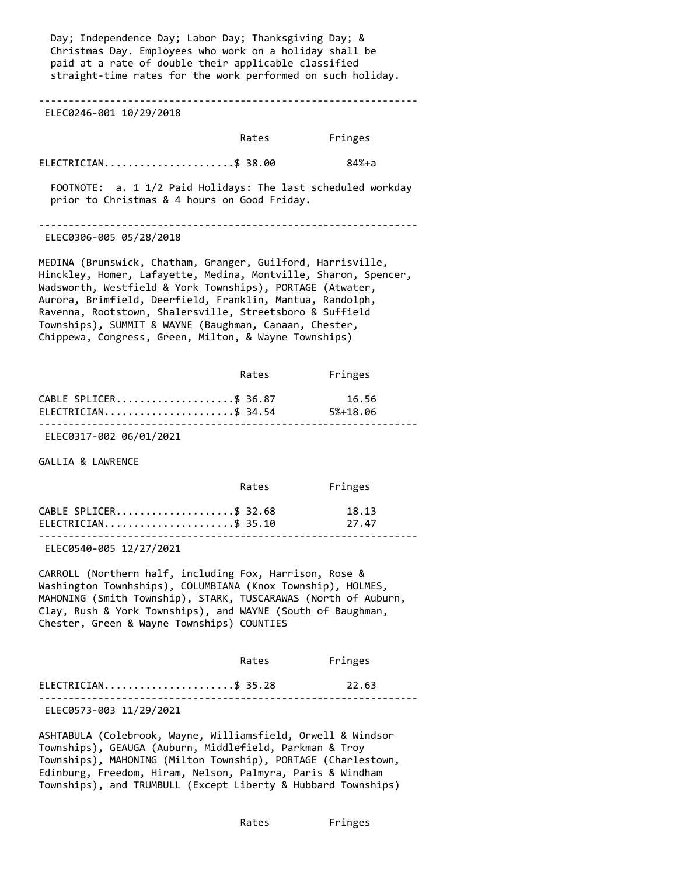Day; Independence Day; Labor Day; Thanksgiving Day; & Christmas Day. Employees who work on a holiday shall be paid at a rate of double their applicable classified straight-time rates for the work performed on such holiday.

----------------------------------------------------------------

ELEC0246-001 10/29/2018

|                        | Rates | Fringes |
|------------------------|-------|---------|
| $ELECTRICIAN$ \$ 38.00 |       | 84%+a   |

 FOOTNOTE: a. 1 1/2 Paid Holidays: The last scheduled workday prior to Christmas & 4 hours on Good Friday.

----------------------------------------------------------------

ELEC0306-005 05/28/2018

MEDINA (Brunswick, Chatham, Granger, Guilford, Harrisville, Hinckley, Homer, Lafayette, Medina, Montville, Sharon, Spencer, Wadsworth, Westfield & York Townships), PORTAGE (Atwater, Aurora, Brimfield, Deerfield, Franklin, Mantua, Randolph, Ravenna, Rootstown, Shalersville, Streetsboro & Suffield Townships), SUMMIT & WAYNE (Baughman, Canaan, Chester, Chippewa, Congress, Green, Milton, & Wayne Townships)

|                        | Rates | Fringes      |  |
|------------------------|-------|--------------|--|
| CABLE SPLICER\$ 36.87  |       | 16.56        |  |
| $ELECTRICIAN$ \$ 34.54 |       | $5% + 18.06$ |  |
|                        |       |              |  |

ELEC0317-002 06/01/2021

GALLIA & LAWRENCE

|                                                 | Rates | Fringes        |
|-------------------------------------------------|-------|----------------|
| CABLE SPLICER\$ 32.68<br>$ELECTRICIAN$ \$ 35.10 |       | 18.13<br>27.47 |
|                                                 |       |                |

ELEC0540-005 12/27/2021

CARROLL (Northern half, including Fox, Harrison, Rose & Washington Townhships), COLUMBIANA (Knox Township), HOLMES, MAHONING (Smith Township), STARK, TUSCARAWAS (North of Auburn, Clay, Rush & York Townships), and WAYNE (South of Baughman, Chester, Green & Wayne Townships) COUNTIES

|                        | Rates | Fringes |  |
|------------------------|-------|---------|--|
| $ELECTRICIAN$ \$ 35.28 |       | 22.63   |  |
|                        |       |         |  |

ELEC0573-003 11/29/2021

ASHTABULA (Colebrook, Wayne, Williamsfield, Orwell & Windsor Townships), GEAUGA (Auburn, Middlefield, Parkman & Troy Townships), MAHONING (Milton Township), PORTAGE (Charlestown, Edinburg, Freedom, Hiram, Nelson, Palmyra, Paris & Windham Townships), and TRUMBULL (Except Liberty & Hubbard Townships)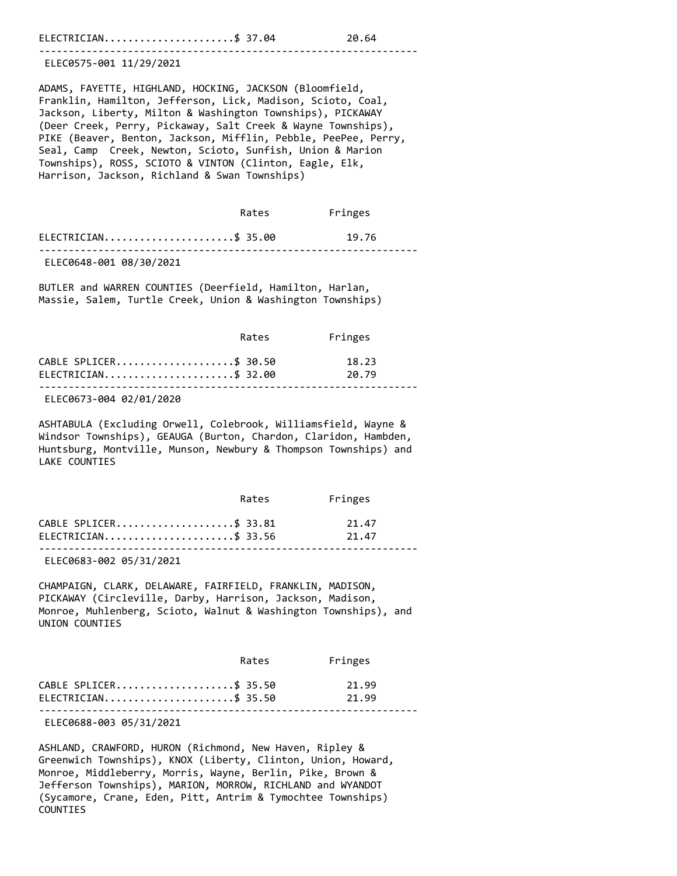ELECTRICIAN.........................\$ 37.04 20.64

----------------------------------------------------------------

ELEC0575-001 11/29/2021

ADAMS, FAYETTE, HIGHLAND, HOCKING, JACKSON (Bloomfield, Franklin, Hamilton, Jefferson, Lick, Madison, Scioto, Coal, Jackson, Liberty, Milton & Washington Townships), PICKAWAY (Deer Creek, Perry, Pickaway, Salt Creek & Wayne Townships), PIKE (Beaver, Benton, Jackson, Mifflin, Pebble, PeePee, Perry, Seal, Camp Creek, Newton, Scioto, Sunfish, Union & Marion Townships), ROSS, SCIOTO & VINTON (Clinton, Eagle, Elk, Harrison, Jackson, Richland & Swan Townships)

|                         | Rates | Fringes |  |
|-------------------------|-------|---------|--|
| $ELECTRICIAN$ \$ 35.00  |       | 19.76   |  |
| ELEC0648-001 08/30/2021 |       |         |  |

BUTLER and WARREN COUNTIES (Deerfield, Hamilton, Harlan, Massie, Salem, Turtle Creek, Union & Washington Townships)

|                                                 | Rates | Fringes        |
|-------------------------------------------------|-------|----------------|
| CABLE SPLICER\$ 30.50<br>$ELECTRICIAN$ \$ 32.00 |       | 18.23<br>20.79 |
|                                                 |       |                |

ELEC0673-004 02/01/2020

ASHTABULA (Excluding Orwell, Colebrook, Williamsfield, Wayne & Windsor Townships), GEAUGA (Burton, Chardon, Claridon, Hambden, Huntsburg, Montville, Munson, Newbury & Thompson Townships) and LAKE COUNTIES

|                        | Rates | Fringes |  |
|------------------------|-------|---------|--|
| CABLE SPLICER\$ 33.81  |       | 21.47   |  |
| $ELECTRICIAN$ \$ 33.56 |       | 21.47   |  |
|                        |       |         |  |

ELEC0683-002 05/31/2021

CHAMPAIGN, CLARK, DELAWARE, FAIRFIELD, FRANKLIN, MADISON, PICKAWAY (Circleville, Darby, Harrison, Jackson, Madison, Monroe, Muhlenberg, Scioto, Walnut & Washington Townships), and UNION COUNTIES

|                        | Rates | Fringes |  |
|------------------------|-------|---------|--|
| CABLE SPLICER\$ 35.50  |       | 21.99   |  |
| $ELECTRICIAN$ \$ 35.50 |       | 21.99   |  |
|                        |       |         |  |

ELEC0688-003 05/31/2021

ASHLAND, CRAWFORD, HURON (Richmond, New Haven, Ripley & Greenwich Townships), KNOX (Liberty, Clinton, Union, Howard, Monroe, Middleberry, Morris, Wayne, Berlin, Pike, Brown & Jefferson Townships), MARION, MORROW, RICHLAND and WYANDOT (Sycamore, Crane, Eden, Pitt, Antrim & Tymochtee Townships) COUNTIES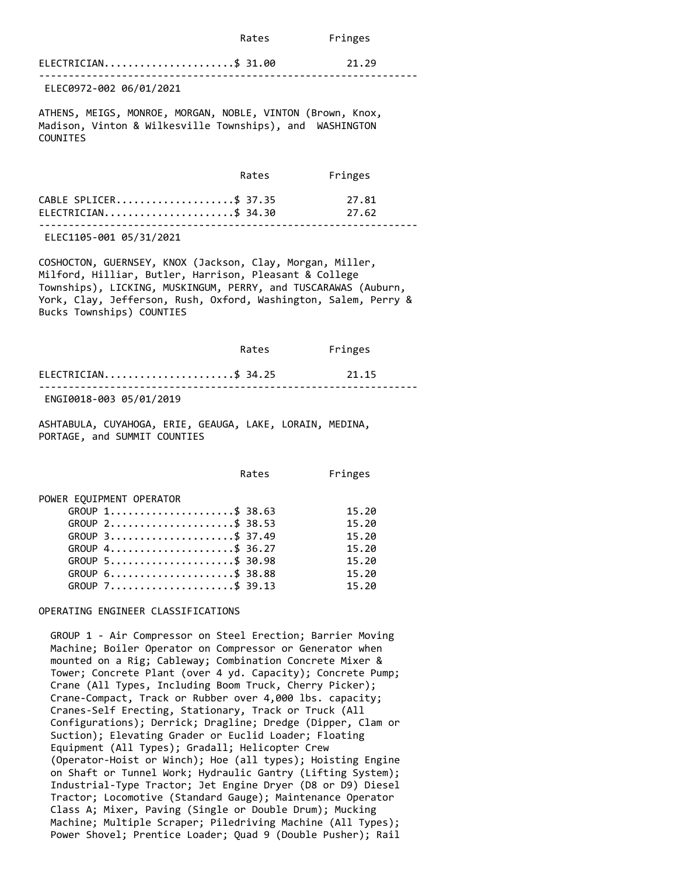| Rates | Fringes |
|-------|---------|
|       |         |

| $ELECTRICIAN$ \$ 31.00 | 21.29 |
|------------------------|-------|
|                        |       |

ELEC0972-002 06/01/2021

ATHENS, MEIGS, MONROE, MORGAN, NOBLE, VINTON (Brown, Knox, Madison, Vinton & Wilkesville Townships), and WASHINGTON COUNITES

|                        | Rates | Fringes |  |
|------------------------|-------|---------|--|
| CABLE SPLICER\$ 37.35  |       | 27.81   |  |
| $ELECTRICIAN$ \$ 34.30 |       | 27.62   |  |
|                        |       |         |  |

ELEC1105-001 05/31/2021

COSHOCTON, GUERNSEY, KNOX (Jackson, Clay, Morgan, Miller, Milford, Hilliar, Butler, Harrison, Pleasant & College Townships), LICKING, MUSKINGUM, PERRY, and TUSCARAWAS (Auburn, York, Clay, Jefferson, Rush, Oxford, Washington, Salem, Perry & Bucks Townships) COUNTIES

|                          | Rates | Fringes |  |
|--------------------------|-------|---------|--|
| ELECTRICIAN\$ 34.25      |       | 21.15   |  |
| F115T0040.002.0510410040 |       |         |  |

ENGI0018-003 05/01/2019

ASHTABULA, CUYAHOGA, ERIE, GEAUGA, LAKE, LORAIN, MEDINA, PORTAGE, and SUMMIT COUNTIES

Rates Fringes

POWER EQUIPMENT OPERATOR

| GROUP $1, \ldots, \ldots, \ldots, \ldots, \quad $38.63$          | 15.20 |
|------------------------------------------------------------------|-------|
| GROUP 2\$ 38.53                                                  | 15.20 |
| GROUP 3\$ 37.49                                                  | 15.20 |
| GROUP $4 \ldots \ldots \ldots \ldots \ldots \ldots \quad $36.27$ | 15.20 |
| GROUP 5\$ 30.98                                                  | 15.20 |
| GROUP $6 \ldots \ldots \ldots \ldots \ldots \ldots \quad $38.88$ | 15.20 |
| GROUP 7\$ 39.13                                                  | 15.20 |

#### OPERATING ENGINEER CLASSIFICATIONS

 GROUP 1 - Air Compressor on Steel Erection; Barrier Moving Machine; Boiler Operator on Compressor or Generator when mounted on a Rig; Cableway; Combination Concrete Mixer & Tower; Concrete Plant (over 4 yd. Capacity); Concrete Pump; Crane (All Types, Including Boom Truck, Cherry Picker); Crane-Compact, Track or Rubber over 4,000 lbs. capacity; Cranes-Self Erecting, Stationary, Track or Truck (All Configurations); Derrick; Dragline; Dredge (Dipper, Clam or Suction); Elevating Grader or Euclid Loader; Floating Equipment (All Types); Gradall; Helicopter Crew (Operator-Hoist or Winch); Hoe (all types); Hoisting Engine on Shaft or Tunnel Work; Hydraulic Gantry (Lifting System); Industrial-Type Tractor; Jet Engine Dryer (D8 or D9) Diesel Tractor; Locomotive (Standard Gauge); Maintenance Operator Class A; Mixer, Paving (Single or Double Drum); Mucking Machine; Multiple Scraper; Piledriving Machine (All Types); Power Shovel; Prentice Loader; Quad 9 (Double Pusher); Rail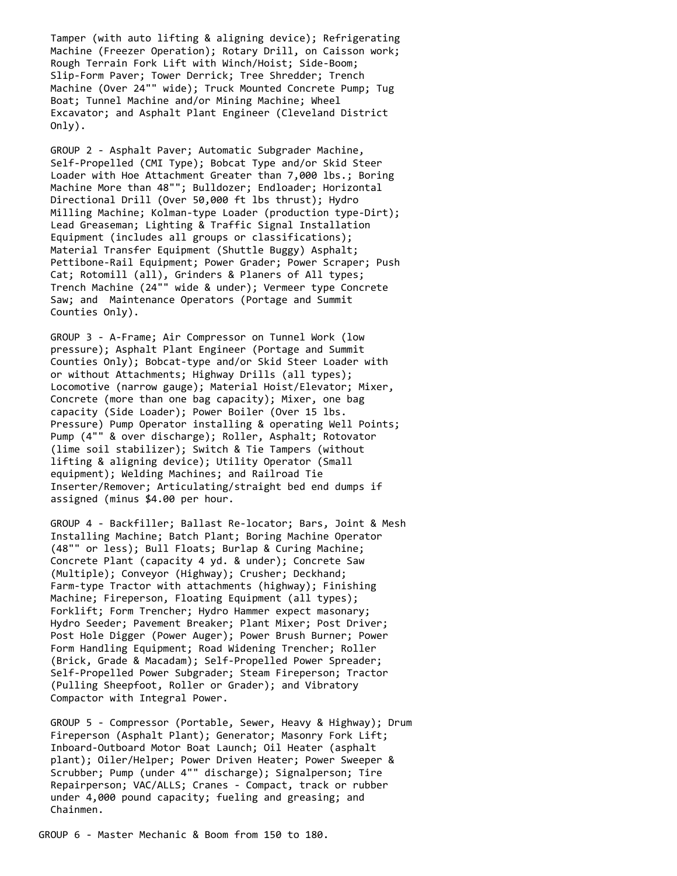Tamper (with auto lifting & aligning device); Refrigerating Machine (Freezer Operation); Rotary Drill, on Caisson work; Rough Terrain Fork Lift with Winch/Hoist; Side-Boom; Slip-Form Paver; Tower Derrick; Tree Shredder; Trench Machine (Over 24"" wide); Truck Mounted Concrete Pump; Tug Boat; Tunnel Machine and/or Mining Machine; Wheel Excavator; and Asphalt Plant Engineer (Cleveland District Only).

 GROUP 2 - Asphalt Paver; Automatic Subgrader Machine, Self-Propelled (CMI Type); Bobcat Type and/or Skid Steer Loader with Hoe Attachment Greater than 7,000 lbs.; Boring Machine More than 48""; Bulldozer; Endloader; Horizontal Directional Drill (Over 50,000 ft lbs thrust); Hydro Milling Machine; Kolman-type Loader (production type-Dirt); Lead Greaseman; Lighting & Traffic Signal Installation Equipment (includes all groups or classifications); Material Transfer Equipment (Shuttle Buggy) Asphalt; Pettibone-Rail Equipment; Power Grader; Power Scraper; Push Cat; Rotomill (all), Grinders & Planers of All types; Trench Machine (24"" wide & under); Vermeer type Concrete Saw; and Maintenance Operators (Portage and Summit Counties Only).

 GROUP 3 - A-Frame; Air Compressor on Tunnel Work (low pressure); Asphalt Plant Engineer (Portage and Summit Counties Only); Bobcat-type and/or Skid Steer Loader with or without Attachments; Highway Drills (all types); Locomotive (narrow gauge); Material Hoist/Elevator; Mixer, Concrete (more than one bag capacity); Mixer, one bag capacity (Side Loader); Power Boiler (Over 15 lbs. Pressure) Pump Operator installing & operating Well Points; Pump (4"" & over discharge); Roller, Asphalt; Rotovator (lime soil stabilizer); Switch & Tie Tampers (without lifting & aligning device); Utility Operator (Small equipment); Welding Machines; and Railroad Tie Inserter/Remover; Articulating/straight bed end dumps if assigned (minus \$4.00 per hour.

 GROUP 4 - Backfiller; Ballast Re-locator; Bars, Joint & Mesh Installing Machine; Batch Plant; Boring Machine Operator (48"" or less); Bull Floats; Burlap & Curing Machine; Concrete Plant (capacity 4 yd. & under); Concrete Saw (Multiple); Conveyor (Highway); Crusher; Deckhand; Farm-type Tractor with attachments (highway); Finishing Machine; Fireperson, Floating Equipment (all types); Forklift; Form Trencher; Hydro Hammer expect masonary; Hydro Seeder; Pavement Breaker; Plant Mixer; Post Driver; Post Hole Digger (Power Auger); Power Brush Burner; Power Form Handling Equipment; Road Widening Trencher; Roller (Brick, Grade & Macadam); Self-Propelled Power Spreader; Self-Propelled Power Subgrader; Steam Fireperson; Tractor (Pulling Sheepfoot, Roller or Grader); and Vibratory Compactor with Integral Power.

 GROUP 5 - Compressor (Portable, Sewer, Heavy & Highway); Drum Fireperson (Asphalt Plant); Generator; Masonry Fork Lift; Inboard-Outboard Motor Boat Launch; Oil Heater (asphalt plant); Oiler/Helper; Power Driven Heater; Power Sweeper & Scrubber; Pump (under 4"" discharge); Signalperson; Tire Repairperson; VAC/ALLS; Cranes - Compact, track or rubber under 4,000 pound capacity; fueling and greasing; and Chainmen.

GROUP 6 - Master Mechanic & Boom from 150 to 180.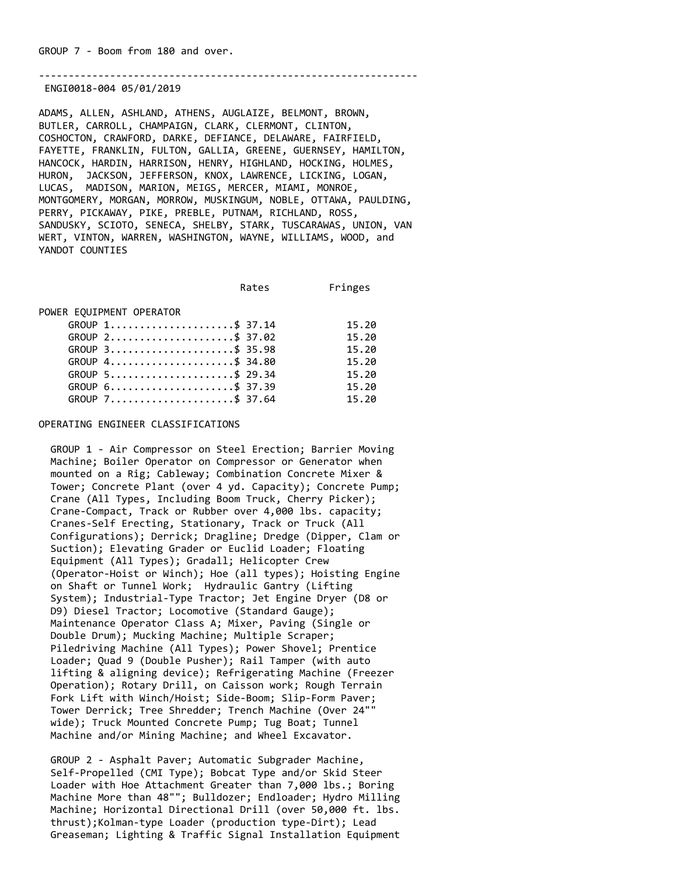----------------------------------------------------------------

ENGI0018-004 05/01/2019

ADAMS, ALLEN, ASHLAND, ATHENS, AUGLAIZE, BELMONT, BROWN, BUTLER, CARROLL, CHAMPAIGN, CLARK, CLERMONT, CLINTON, COSHOCTON, CRAWFORD, DARKE, DEFIANCE, DELAWARE, FAIRFIELD, FAYETTE, FRANKLIN, FULTON, GALLIA, GREENE, GUERNSEY, HAMILTON, HANCOCK, HARDIN, HARRISON, HENRY, HIGHLAND, HOCKING, HOLMES, HURON, JACKSON, JEFFERSON, KNOX, LAWRENCE, LICKING, LOGAN, LUCAS, MADISON, MARION, MEIGS, MERCER, MIAMI, MONROE, MONTGOMERY, MORGAN, MORROW, MUSKINGUM, NOBLE, OTTAWA, PAULDING, PERRY, PICKAWAY, PIKE, PREBLE, PUTNAM, RICHLAND, ROSS, SANDUSKY, SCIOTO, SENECA, SHELBY, STARK, TUSCARAWAS, UNION, VAN WERT, VINTON, WARREN, WASHINGTON, WAYNE, WILLIAMS, WOOD, and YANDOT COUNTIES

Rates Fringes

POWER EQUIPMENT OPERATOR

| $GROUP$ 1\$ 37.14 | 15.20 |
|-------------------|-------|
| GROUP 2\$ 37.02   | 15.20 |
| GROUP 3\$ 35.98   | 15.20 |
| GROUP 4\$ 34.80   | 15.20 |
| GROUP 5\$ 29.34   | 15.20 |
| GROUP 6\$ 37.39   | 15.20 |
| GROUP 7\$ 37.64   | 15.20 |

#### OPERATING ENGINEER CLASSIFICATIONS

 GROUP 1 - Air Compressor on Steel Erection; Barrier Moving Machine; Boiler Operator on Compressor or Generator when mounted on a Rig; Cableway; Combination Concrete Mixer & Tower; Concrete Plant (over 4 yd. Capacity); Concrete Pump; Crane (All Types, Including Boom Truck, Cherry Picker); Crane-Compact, Track or Rubber over 4,000 lbs. capacity; Cranes-Self Erecting, Stationary, Track or Truck (All Configurations); Derrick; Dragline; Dredge (Dipper, Clam or Suction); Elevating Grader or Euclid Loader; Floating Equipment (All Types); Gradall; Helicopter Crew (Operator-Hoist or Winch); Hoe (all types); Hoisting Engine on Shaft or Tunnel Work; Hydraulic Gantry (Lifting System); Industrial-Type Tractor; Jet Engine Dryer (D8 or D9) Diesel Tractor; Locomotive (Standard Gauge); Maintenance Operator Class A; Mixer, Paving (Single or Double Drum); Mucking Machine; Multiple Scraper; Piledriving Machine (All Types); Power Shovel; Prentice Loader; Quad 9 (Double Pusher); Rail Tamper (with auto lifting & aligning device); Refrigerating Machine (Freezer Operation); Rotary Drill, on Caisson work; Rough Terrain Fork Lift with Winch/Hoist; Side-Boom; Slip-Form Paver; Tower Derrick; Tree Shredder; Trench Machine (Over 24"" wide); Truck Mounted Concrete Pump; Tug Boat; Tunnel Machine and/or Mining Machine; and Wheel Excavator.

 GROUP 2 - Asphalt Paver; Automatic Subgrader Machine, Self-Propelled (CMI Type); Bobcat Type and/or Skid Steer Loader with Hoe Attachment Greater than 7,000 lbs.; Boring Machine More than 48""; Bulldozer; Endloader; Hydro Milling Machine; Horizontal Directional Drill (over 50,000 ft. lbs. thrust);Kolman-type Loader (production type-Dirt); Lead Greaseman; Lighting & Traffic Signal Installation Equipment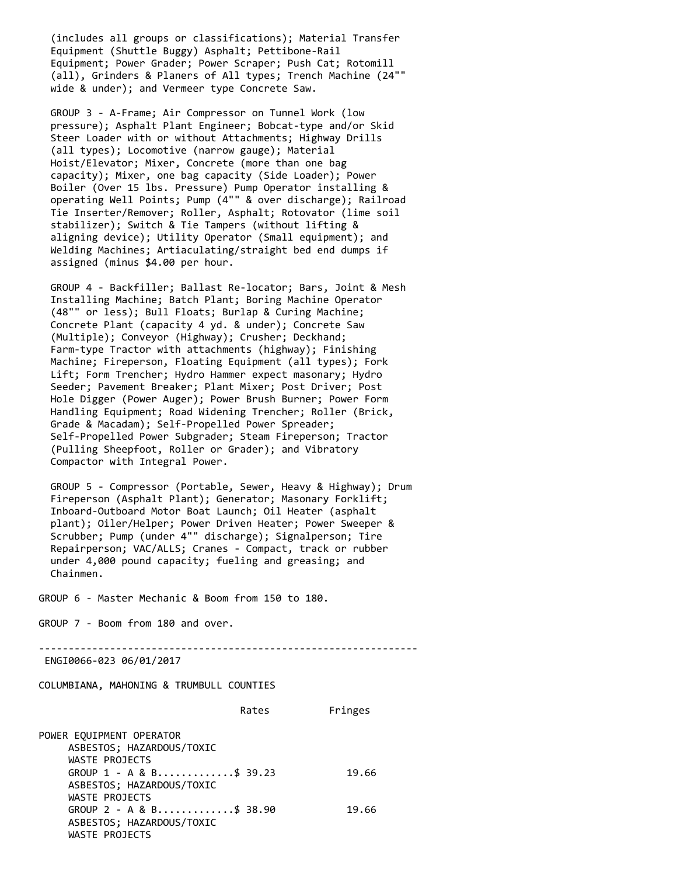(includes all groups or classifications); Material Transfer Equipment (Shuttle Buggy) Asphalt; Pettibone-Rail Equipment; Power Grader; Power Scraper; Push Cat; Rotomill (all), Grinders & Planers of All types; Trench Machine (24"" wide & under); and Vermeer type Concrete Saw.

 GROUP 3 - A-Frame; Air Compressor on Tunnel Work (low pressure); Asphalt Plant Engineer; Bobcat-type and/or Skid Steer Loader with or without Attachments; Highway Drills (all types); Locomotive (narrow gauge); Material Hoist/Elevator; Mixer, Concrete (more than one bag capacity); Mixer, one bag capacity (Side Loader); Power Boiler (Over 15 lbs. Pressure) Pump Operator installing & operating Well Points; Pump (4"" & over discharge); Railroad Tie Inserter/Remover; Roller, Asphalt; Rotovator (lime soil stabilizer); Switch & Tie Tampers (without lifting & aligning device); Utility Operator (Small equipment); and Welding Machines; Artiaculating/straight bed end dumps if assigned (minus \$4.00 per hour.

 GROUP 4 - Backfiller; Ballast Re-locator; Bars, Joint & Mesh Installing Machine; Batch Plant; Boring Machine Operator (48"" or less); Bull Floats; Burlap & Curing Machine; Concrete Plant (capacity 4 yd. & under); Concrete Saw (Multiple); Conveyor (Highway); Crusher; Deckhand; Farm-type Tractor with attachments (highway); Finishing Machine; Fireperson, Floating Equipment (all types); Fork Lift; Form Trencher; Hydro Hammer expect masonary; Hydro Seeder; Pavement Breaker; Plant Mixer; Post Driver; Post Hole Digger (Power Auger); Power Brush Burner; Power Form Handling Equipment; Road Widening Trencher; Roller (Brick, Grade & Macadam); Self-Propelled Power Spreader; Self-Propelled Power Subgrader; Steam Fireperson; Tractor (Pulling Sheepfoot, Roller or Grader); and Vibratory Compactor with Integral Power.

 GROUP 5 - Compressor (Portable, Sewer, Heavy & Highway); Drum Fireperson (Asphalt Plant); Generator; Masonary Forklift; Inboard-Outboard Motor Boat Launch; Oil Heater (asphalt plant); Oiler/Helper; Power Driven Heater; Power Sweeper & Scrubber; Pump (under 4"" discharge); Signalperson; Tire Repairperson; VAC/ALLS; Cranes - Compact, track or rubber under 4,000 pound capacity; fueling and greasing; and Chainmen.

GROUP 6 - Master Mechanic & Boom from 150 to 180.

GROUP 7 - Boom from 180 and over.

----------------------------------------------------------------

ENGI0066-023 06/01/2017

COLUMBIANA, MAHONING & TRUMBULL COUNTIES

|                            | Rates | Fringes |
|----------------------------|-------|---------|
| POWER EOUIPMENT OPERATOR   |       |         |
| ASBESTOS; HAZARDOUS/TOXIC  |       |         |
| WASTE PROJECTS             |       |         |
| GROUP $1 - A & B$ \$ 39.23 |       | 19.66   |
| ASBESTOS; HAZARDOUS/TOXIC  |       |         |
| WASTE PROJECTS             |       |         |
| GROUP $2 - A & B$ \$ 38.90 |       | 19.66   |
| ASBESTOS; HAZARDOUS/TOXIC  |       |         |
| WASTE PROJECTS             |       |         |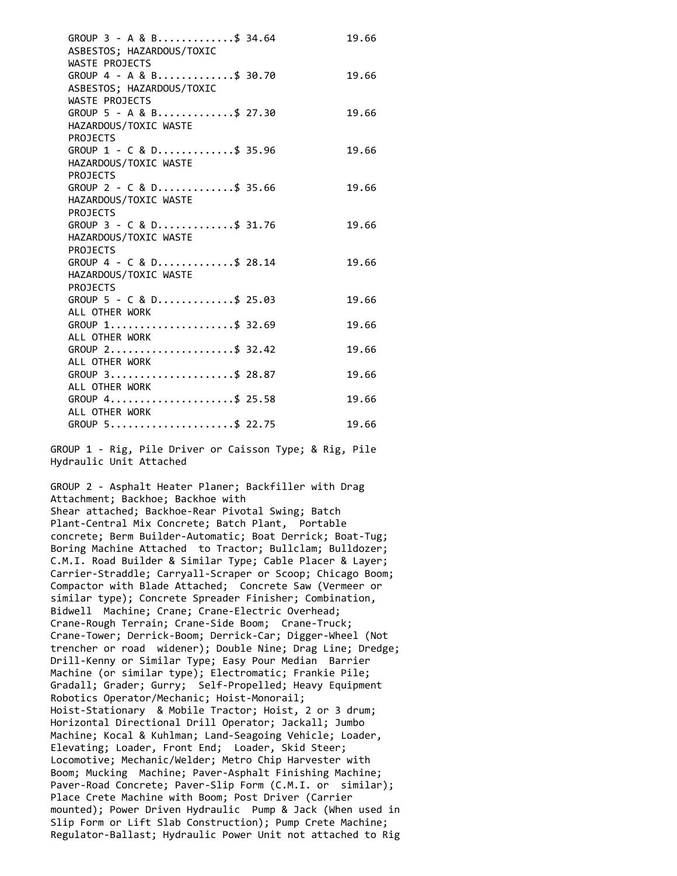| GROUP $3 - A & B$ \$ 34.64<br>ASBESTOS; HAZARDOUS/TOXIC                | 19.66 |
|------------------------------------------------------------------------|-------|
| WASTE PROJECTS<br>GROUP 4 - A & B\$ 30.70<br>ASBESTOS; HAZARDOUS/TOXIC | 19.66 |
| WASTE PROJECTS<br>GROUP 5 - A & B\$ 27.30<br>HAZARDOUS/TOXIC WASTE     | 19.66 |
| <b>PROJECTS</b><br>GROUP $1 - C & D$ \$ 35.96<br>HAZARDOUS/TOXIC WASTE | 19.66 |
| <b>PROJECTS</b><br>GROUP 2 - C & D\$ 35.66<br>HAZARDOUS/TOXIC WASTE    | 19.66 |
| <b>PROJECTS</b><br>GROUP 3 - C & D\$ 31.76<br>HAZARDOUS/TOXIC WASTE    | 19.66 |
| <b>PROJECTS</b><br>GROUP 4 - C & D\$ 28.14<br>HAZARDOUS/TOXIC WASTE    | 19.66 |
| <b>PROJECTS</b><br>GROUP 5 - C & D\$ 25.03<br>ALL OTHER WORK           | 19.66 |
| GROUP 1\$ 32.69<br>ALL OTHER WORK                                      | 19.66 |
| GROUP 2\$ 32.42<br>ALL OTHER WORK                                      | 19.66 |
| GROUP 3\$ 28.87<br>ALL OTHER WORK                                      | 19.66 |
| GROUP 4\$ 25.58<br>ALL OTHER WORK                                      | 19.66 |
| GROUP 5\$ 22.75                                                        | 19.66 |

 GROUP 1 - Rig, Pile Driver or Caisson Type; & Rig, Pile Hydraulic Unit Attached

 GROUP 2 - Asphalt Heater Planer; Backfiller with Drag Attachment; Backhoe; Backhoe with Shear attached; Backhoe-Rear Pivotal Swing; Batch Plant-Central Mix Concrete; Batch Plant, Portable concrete; Berm Builder-Automatic; Boat Derrick; Boat-Tug; Boring Machine Attached to Tractor; Bullclam; Bulldozer; C.M.I. Road Builder & Similar Type; Cable Placer & Layer; Carrier-Straddle; Carryall-Scraper or Scoop; Chicago Boom; Compactor with Blade Attached; Concrete Saw (Vermeer or similar type); Concrete Spreader Finisher; Combination, Bidwell Machine; Crane; Crane-Electric Overhead; Crane-Rough Terrain; Crane-Side Boom; Crane-Truck; Crane-Tower; Derrick-Boom; Derrick-Car; Digger-Wheel (Not trencher or road widener); Double Nine; Drag Line; Dredge; Drill-Kenny or Similar Type; Easy Pour Median Barrier Machine (or similar type); Electromatic; Frankie Pile; Gradall; Grader; Gurry; Self-Propelled; Heavy Equipment Robotics Operator/Mechanic; Hoist-Monorail; Hoist-Stationary & Mobile Tractor; Hoist, 2 or 3 drum; Horizontal Directional Drill Operator; Jackall; Jumbo Machine; Kocal & Kuhlman; Land-Seagoing Vehicle; Loader, Elevating; Loader, Front End; Loader, Skid Steer; Locomotive; Mechanic/Welder; Metro Chip Harvester with Boom; Mucking Machine; Paver-Asphalt Finishing Machine; Paver-Road Concrete; Paver-Slip Form (C.M.I. or similar); Place Crete Machine with Boom; Post Driver (Carrier mounted); Power Driven Hydraulic Pump & Jack (When used in Slip Form or Lift Slab Construction); Pump Crete Machine; Regulator-Ballast; Hydraulic Power Unit not attached to Rig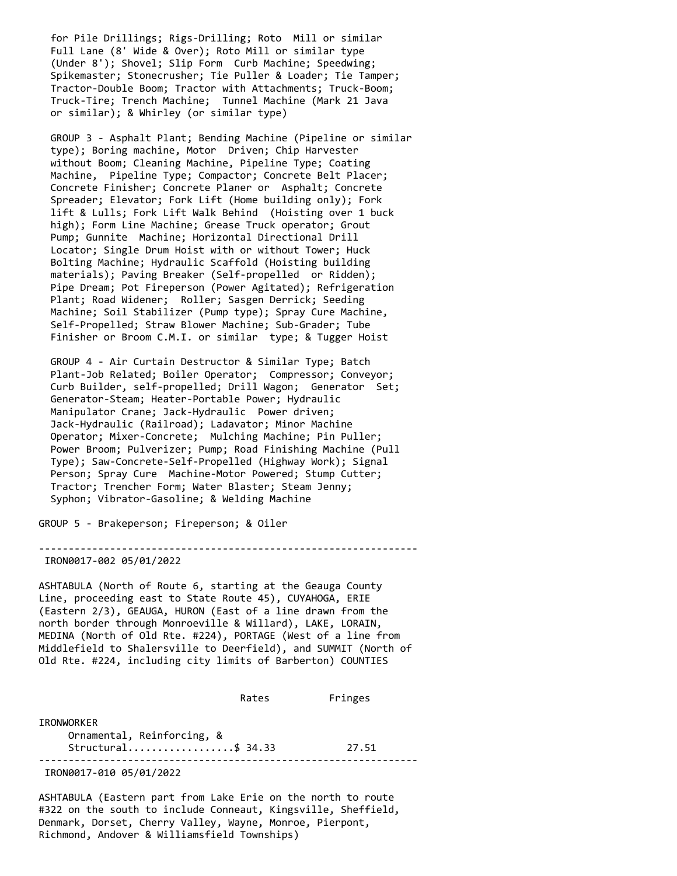for Pile Drillings; Rigs-Drilling; Roto Mill or similar Full Lane (8' Wide & Over); Roto Mill or similar type (Under 8'); Shovel; Slip Form Curb Machine; Speedwing; Spikemaster; Stonecrusher; Tie Puller & Loader; Tie Tamper; Tractor-Double Boom; Tractor with Attachments; Truck-Boom; Truck-Tire; Trench Machine; Tunnel Machine (Mark 21 Java or similar); & Whirley (or similar type)

 GROUP 3 - Asphalt Plant; Bending Machine (Pipeline or similar type); Boring machine, Motor Driven; Chip Harvester without Boom; Cleaning Machine, Pipeline Type; Coating Machine, Pipeline Type; Compactor; Concrete Belt Placer; Concrete Finisher; Concrete Planer or Asphalt; Concrete Spreader; Elevator; Fork Lift (Home building only); Fork lift & Lulls; Fork Lift Walk Behind (Hoisting over 1 buck high); Form Line Machine; Grease Truck operator; Grout Pump; Gunnite Machine; Horizontal Directional Drill Locator; Single Drum Hoist with or without Tower; Huck Bolting Machine; Hydraulic Scaffold (Hoisting building materials); Paving Breaker (Self-propelled or Ridden); Pipe Dream; Pot Fireperson (Power Agitated); Refrigeration Plant; Road Widener; Roller; Sasgen Derrick; Seeding Machine; Soil Stabilizer (Pump type); Spray Cure Machine, Self-Propelled; Straw Blower Machine; Sub-Grader; Tube Finisher or Broom C.M.I. or similar type; & Tugger Hoist

 GROUP 4 - Air Curtain Destructor & Similar Type; Batch Plant-Job Related; Boiler Operator; Compressor; Conveyor; Curb Builder, self-propelled; Drill Wagon; Generator Set; Generator-Steam; Heater-Portable Power; Hydraulic Manipulator Crane; Jack-Hydraulic Power driven; Jack-Hydraulic (Railroad); Ladavator; Minor Machine Operator; Mixer-Concrete; Mulching Machine; Pin Puller; Power Broom; Pulverizer; Pump; Road Finishing Machine (Pull Type); Saw-Concrete-Self-Propelled (Highway Work); Signal Person; Spray Cure Machine-Motor Powered; Stump Cutter; Tractor; Trencher Form; Water Blaster; Steam Jenny; Syphon; Vibrator-Gasoline; & Welding Machine

GROUP 5 - Brakeperson; Fireperson; & Oiler

----------------------------------------------------------------

IRON0017-002 05/01/2022

ASHTABULA (North of Route 6, starting at the Geauga County Line, proceeding east to State Route 45), CUYAHOGA, ERIE (Eastern 2/3), GEAUGA, HURON (East of a line drawn from the north border through Monroeville & Willard), LAKE, LORAIN, MEDINA (North of Old Rte. #224), PORTAGE (West of a line from Middlefield to Shalersville to Deerfield), and SUMMIT (North of Old Rte. #224, including city limits of Barberton) COUNTIES

 Rates Fringes IRONWORKER Ornamental, Reinforcing, & Structural...................\$ 34.33 27.51 ----------------------------------------------------------------

IRON0017-010 05/01/2022

ASHTABULA (Eastern part from Lake Erie on the north to route #322 on the south to include Conneaut, Kingsville, Sheffield, Denmark, Dorset, Cherry Valley, Wayne, Monroe, Pierpont, Richmond, Andover & Williamsfield Townships)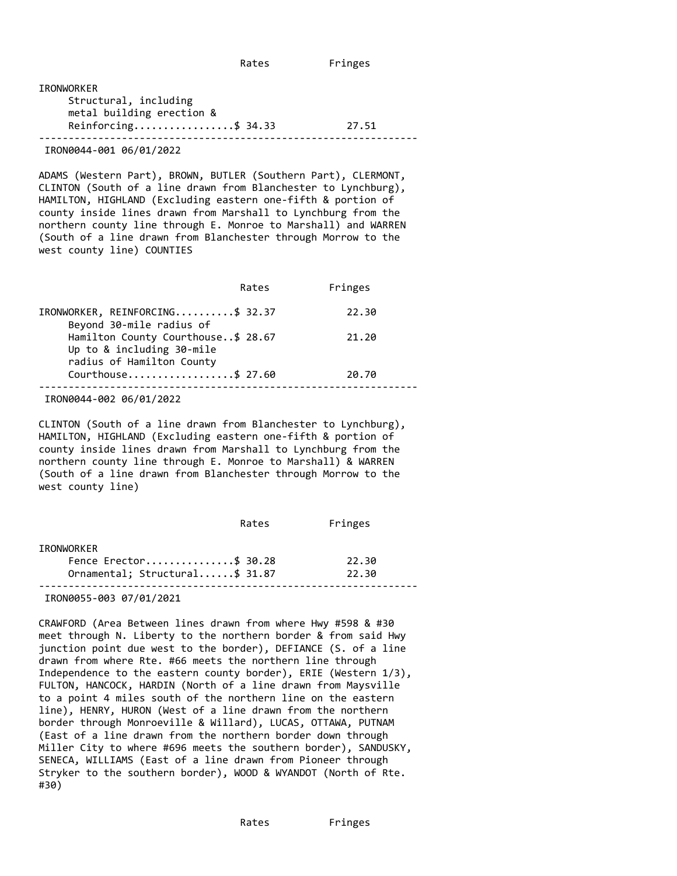| IRONWORKER                                 |       |
|--------------------------------------------|-------|
| Structural, including                      |       |
| metal building erection &                  |       |
| Reinforcing\$ 34.33                        | 27.51 |
| $TROUOOIA$ $ROA$ $OCA$ $OCA$ $100$ $10000$ |       |

IRON0044-001 06/01/2022

ADAMS (Western Part), BROWN, BUTLER (Southern Part), CLERMONT, CLINTON (South of a line drawn from Blanchester to Lynchburg), HAMILTON, HIGHLAND (Excluding eastern one-fifth & portion of county inside lines drawn from Marshall to Lynchburg from the northern county line through E. Monroe to Marshall) and WARREN (South of a line drawn from Blanchester through Morrow to the west county line) COUNTIES

|                                                                                              | Rates | Fringes |
|----------------------------------------------------------------------------------------------|-------|---------|
| IRONWORKER, REINFORCING\$ 32.37<br>Beyond 30-mile radius of                                  |       | 22.30   |
| Hamilton County Courthouse\$ 28.67<br>Up to & including 30-mile<br>radius of Hamilton County |       | 21.20   |
| Courthouse\$ 27.60                                                                           |       | 20.70   |
|                                                                                              |       |         |

IRON0044-002 06/01/2022

CLINTON (South of a line drawn from Blanchester to Lynchburg), HAMILTON, HIGHLAND (Excluding eastern one-fifth & portion of county inside lines drawn from Marshall to Lynchburg from the northern county line through E. Monroe to Marshall) & WARREN (South of a line drawn from Blanchester through Morrow to the west county line)

|                                | Rates | Fringes |  |
|--------------------------------|-------|---------|--|
| IRONWORKER                     |       |         |  |
| Fence Erector\$ 30.28          |       | 22.30   |  |
| Ornamental; Structural\$ 31.87 |       | 22.30   |  |
|                                |       |         |  |

IRON0055-003 07/01/2021

CRAWFORD (Area Between lines drawn from where Hwy #598 & #30 meet through N. Liberty to the northern border & from said Hwy junction point due west to the border), DEFIANCE (S. of a line drawn from where Rte. #66 meets the northern line through Independence to the eastern county border), ERIE (Western 1/3), FULTON, HANCOCK, HARDIN (North of a line drawn from Maysville to a point 4 miles south of the northern line on the eastern line), HENRY, HURON (West of a line drawn from the northern border through Monroeville & Willard), LUCAS, OTTAWA, PUTNAM (East of a line drawn from the northern border down through Miller City to where #696 meets the southern border), SANDUSKY, SENECA, WILLIAMS (East of a line drawn from Pioneer through Stryker to the southern border), WOOD & WYANDOT (North of Rte. #30)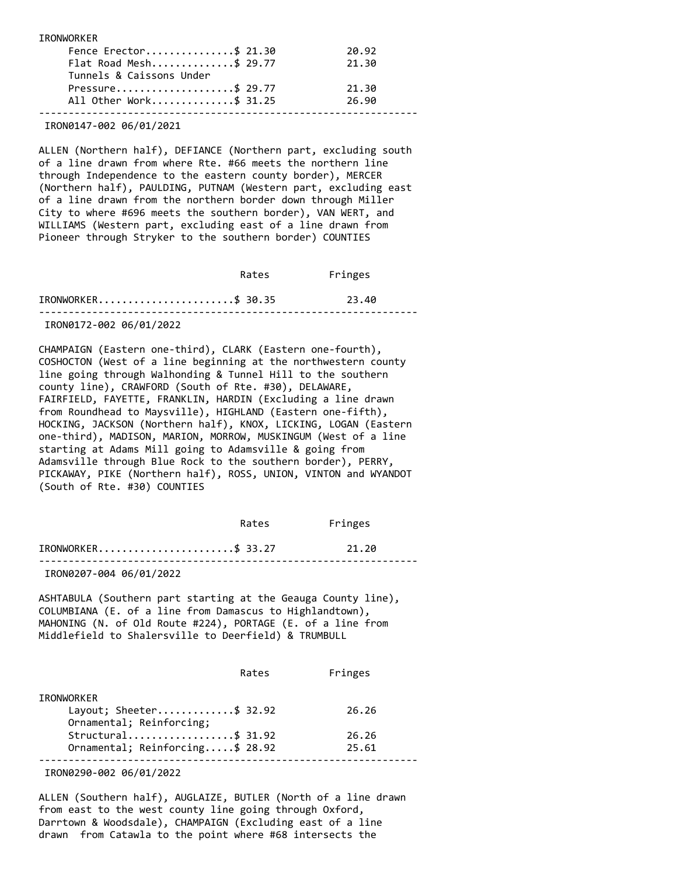IRONWORKER

| Fence Erector\$ 21.30    | 20.92 |
|--------------------------|-------|
| Flat Road Mesh\$ 29.77   | 21.30 |
| Tunnels & Caissons Under |       |
| Pressure\$ 29.77         | 21.30 |
| All Other Work\$ 31.25   | 26.90 |
|                          |       |

IRON0147-002 06/01/2021

ALLEN (Northern half), DEFIANCE (Northern part, excluding south of a line drawn from where Rte. #66 meets the northern line through Independence to the eastern county border), MERCER (Northern half), PAULDING, PUTNAM (Western part, excluding east of a line drawn from the northern border down through Miller City to where #696 meets the southern border), VAN WERT, and WILLIAMS (Western part, excluding east of a line drawn from Pioneer through Stryker to the southern border) COUNTIES

|                         | Rates | Fringes |  |
|-------------------------|-------|---------|--|
| IRONWORKER\$ 30.35      |       | 23.40   |  |
| IRON0172-002 06/01/2022 |       |         |  |

CHAMPAIGN (Eastern one-third), CLARK (Eastern one-fourth), COSHOCTON (West of a line beginning at the northwestern county line going through Walhonding & Tunnel Hill to the southern county line), CRAWFORD (South of Rte. #30), DELAWARE, FAIRFIELD, FAYETTE, FRANKLIN, HARDIN (Excluding a line drawn from Roundhead to Maysville), HIGHLAND (Eastern one-fifth), HOCKING, JACKSON (Northern half), KNOX, LICKING, LOGAN (Eastern one-third), MADISON, MARION, MORROW, MUSKINGUM (West of a line starting at Adams Mill going to Adamsville & going from Adamsville through Blue Rock to the southern border), PERRY, PICKAWAY, PIKE (Northern half), ROSS, UNION, VINTON and WYANDOT (South of Rte. #30) COUNTIES

|                            | Rates | Fringes |  |
|----------------------------|-------|---------|--|
| $IRONWORKER$ \$ 33.27      |       | 21.20   |  |
| --------- -- -- -- -- ---- |       |         |  |

IRON0207-004 06/01/2022

ASHTABULA (Southern part starting at the Geauga County line), COLUMBIANA (E. of a line from Damascus to Highlandtown), MAHONING (N. of Old Route #224), PORTAGE (E. of a line from Middlefield to Shalersville to Deerfield) & TRUMBULL

|                                 | Rates | Fringes |
|---------------------------------|-------|---------|
| <b>IRONWORKER</b>               |       |         |
| Layout; Sheeter\$ 32.92         |       | 26.26   |
| Ornamental; Reinforcing;        |       |         |
| Structural\$ 31.92              |       | 26.26   |
| Ornamental; Reinforcing\$ 28.92 |       | 25.61   |
|                                 |       |         |

IRON0290-002 06/01/2022

ALLEN (Southern half), AUGLAIZE, BUTLER (North of a line drawn from east to the west county line going through Oxford, Darrtown & Woodsdale), CHAMPAIGN (Excluding east of a line drawn from Catawla to the point where #68 intersects the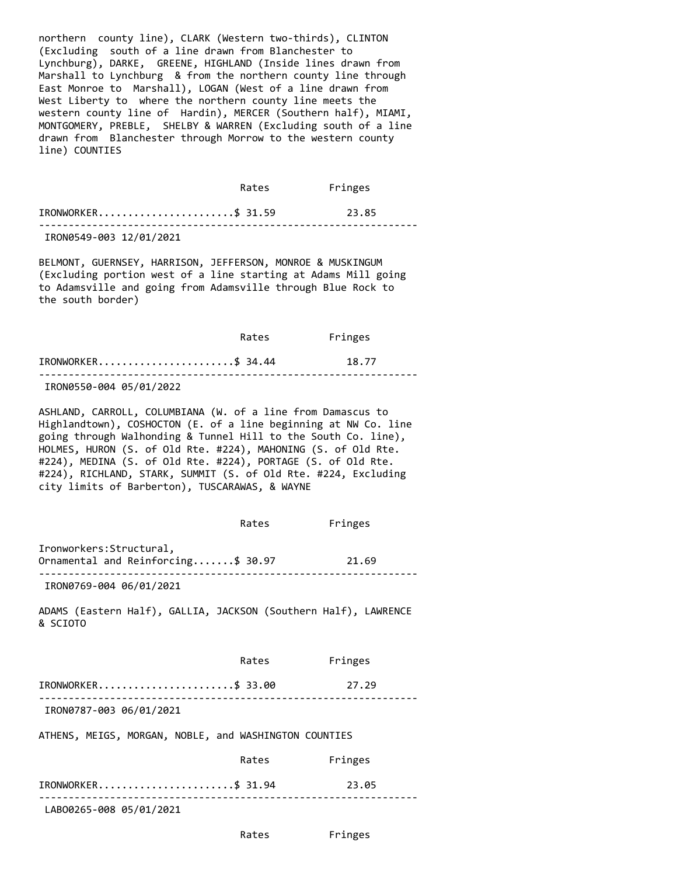northern county line), CLARK (Western two-thirds), CLINTON (Excluding south of a line drawn from Blanchester to Lynchburg), DARKE, GREENE, HIGHLAND (Inside lines drawn from Marshall to Lynchburg & from the northern county line through East Monroe to Marshall), LOGAN (West of a line drawn from West Liberty to where the northern county line meets the western county line of Hardin), MERCER (Southern half), MIAMI, MONTGOMERY, PREBLE, SHELBY & WARREN (Excluding south of a line drawn from Blanchester through Morrow to the western county line) COUNTIES

 Rates Fringes IRONWORKER.......................\$ 31.59 23.85 ----------------------------------------------------------------

IRON0549-003 12/01/2021

BELMONT, GUERNSEY, HARRISON, JEFFERSON, MONROE & MUSKINGUM (Excluding portion west of a line starting at Adams Mill going to Adamsville and going from Adamsville through Blue Rock to the south border)

 Rates Fringes IRONWORKER.......................\$ 34.44 18.77 ----------------------------------------------------------------

IRON0550-004 05/01/2022

ASHLAND, CARROLL, COLUMBIANA (W. of a line from Damascus to Highlandtown), COSHOCTON (E. of a line beginning at NW Co. line going through Walhonding & Tunnel Hill to the South Co. line), HOLMES, HURON (S. of Old Rte. #224), MAHONING (S. of Old Rte. #224), MEDINA (S. of Old Rte. #224), PORTAGE (S. of Old Rte. #224), RICHLAND, STARK, SUMMIT (S. of Old Rte. #224, Excluding city limits of Barberton), TUSCARAWAS, & WAYNE

 Rates Fringes Ironworkers:Structural, Ornamental and Reinforcing.......\$ 30.97 21.69 ---------------------------------------------------------------- IRON0769-004 06/01/2021

ADAMS (Eastern Half), GALLIA, JACKSON (Southern Half), LAWRENCE & SCIOTO

|                                                       | Rates | Fringes |
|-------------------------------------------------------|-------|---------|
| IRONWORKER\$ 33.00                                    |       | 27.29   |
| IRON0787-003 06/01/2021                               |       |         |
| ATHENS, MEIGS, MORGAN, NOBLE, and WASHINGTON COUNTIES |       |         |
|                                                       | Rates | Fringes |
| IRONWORKER\$ 31.94                                    |       | 23.05   |

----------------------------------------------------------------

LABO0265-008 05/01/2021

Rates Fringes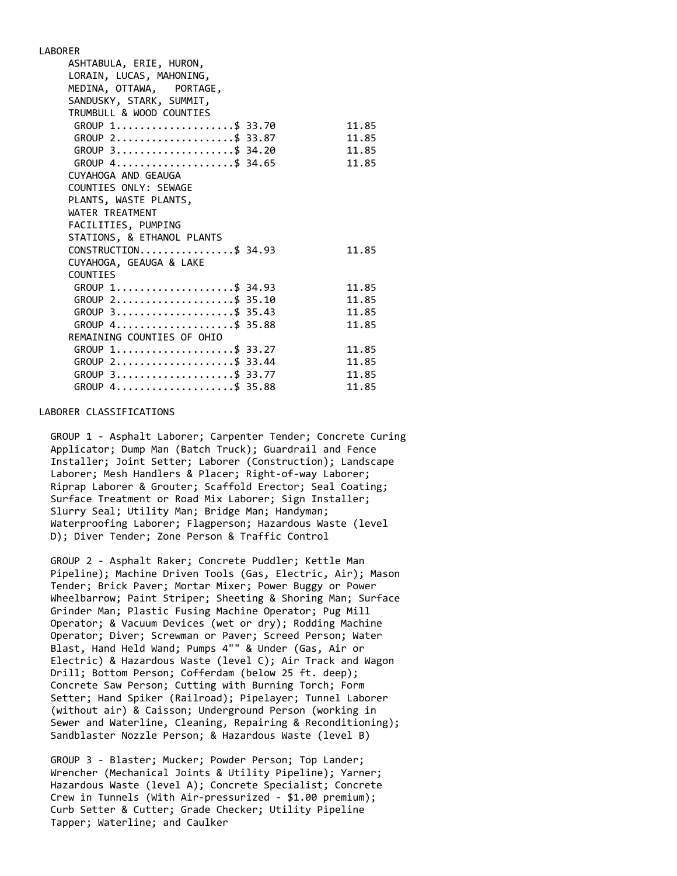LABORER ASHTABULA, ERIE, HURON, LORAIN, LUCAS, MAHONING, MEDINA, OTTAWA, PORTAGE, SANDUSKY, STARK, SUMMIT, TRUMBULL & WOOD COUNTIES GROUP 1......................\$ 33.70 11.85 GROUP 2......................\$ 33.87 11.85 GROUP 3.......................\$ 34.20 11.85 GROUP 4......................\$ 34.65 11.85 CUYAHOGA AND GEAUGA COUNTIES ONLY: SEWAGE PLANTS, WASTE PLANTS, WATER TREATMENT FACILITIES, PUMPING STATIONS, & ETHANOL PLANTS CONSTRUCTION..................\$ 34.93 11.85 CUYAHOGA, GEAUGA & LAKE COUNTIES GROUP 1......................\$ 34.93 11.85 GROUP 2.....................\$ 35.10 11.85 GROUP 3......................\$ 35.43 11.85 GROUP 4......................\$ 35.88 11.85 REMAINING COUNTIES OF OHIO GROUP 1......................\$ 33.27 11.85 GROUP 2......................\$ 33.44 11.85<br>GROUP 3.......................\$ 33.77 11.85 GROUP 3....................\$ 33.77 GROUP 4......................\$ 35.88 11.85

#### LABORER CLASSIFICATIONS

 GROUP 1 - Asphalt Laborer; Carpenter Tender; Concrete Curing Applicator; Dump Man (Batch Truck); Guardrail and Fence Installer; Joint Setter; Laborer (Construction); Landscape Laborer; Mesh Handlers & Placer; Right-of-way Laborer; Riprap Laborer & Grouter; Scaffold Erector; Seal Coating; Surface Treatment or Road Mix Laborer; Sign Installer; Slurry Seal; Utility Man; Bridge Man; Handyman; Waterproofing Laborer; Flagperson; Hazardous Waste (level D); Diver Tender; Zone Person & Traffic Control

 GROUP 2 - Asphalt Raker; Concrete Puddler; Kettle Man Pipeline); Machine Driven Tools (Gas, Electric, Air); Mason Tender; Brick Paver; Mortar Mixer; Power Buggy or Power Wheelbarrow; Paint Striper; Sheeting & Shoring Man; Surface Grinder Man; Plastic Fusing Machine Operator; Pug Mill Operator; & Vacuum Devices (wet or dry); Rodding Machine Operator; Diver; Screwman or Paver; Screed Person; Water Blast, Hand Held Wand; Pumps 4"" & Under (Gas, Air or Electric) & Hazardous Waste (level C); Air Track and Wagon Drill; Bottom Person; Cofferdam (below 25 ft. deep); Concrete Saw Person; Cutting with Burning Torch; Form Setter; Hand Spiker (Railroad); Pipelayer; Tunnel Laborer (without air) & Caisson; Underground Person (working in Sewer and Waterline, Cleaning, Repairing & Reconditioning); Sandblaster Nozzle Person; & Hazardous Waste (level B)

 GROUP 3 - Blaster; Mucker; Powder Person; Top Lander; Wrencher (Mechanical Joints & Utility Pipeline); Yarner; Hazardous Waste (level A); Concrete Specialist; Concrete Crew in Tunnels (With Air-pressurized - \$1.00 premium); Curb Setter & Cutter; Grade Checker; Utility Pipeline Tapper; Waterline; and Caulker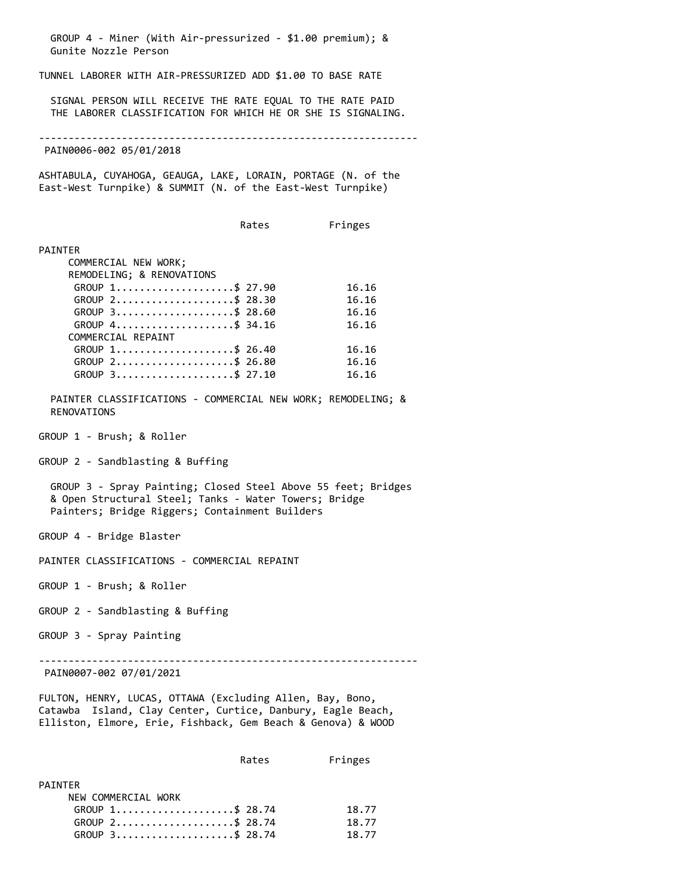GROUP 4 - Miner (With Air-pressurized - \$1.00 premium); & Gunite Nozzle Person TUNNEL LABORER WITH AIR-PRESSURIZED ADD \$1.00 TO BASE RATE SIGNAL PERSON WILL RECEIVE THE RATE EQUAL TO THE RATE PAID THE LABORER CLASSIFICATION FOR WHICH HE OR SHE IS SIGNALING. ---------------------------------------------------------------- PAIN0006-002 05/01/2018 ASHTABULA, CUYAHOGA, GEAUGA, LAKE, LORAIN, PORTAGE (N. of the East-West Turnpike) & SUMMIT (N. of the East-West Turnpike) Rates Fringes PAINTER COMMERCIAL NEW WORK; REMODELING; & RENOVATIONS GROUP 1......................\$ 27.90 16.16 GROUP 2.....................\$ 28.30 16.16 GROUP 3.....................\$ 28.60 16.16 GROUP 4........................\$ 34.16 16.16 COMMERCIAL REPAINT GROUP 1.....................\$ 26.40 16.16 GROUP 2......................\$ 26.80 16.16 GROUP 3......................\$ 27.10 16.16 PAINTER CLASSIFICATIONS - COMMERCIAL NEW WORK; REMODELING; & RENOVATIONS GROUP 1 - Brush; & Roller GROUP 2 - Sandblasting & Buffing GROUP 3 - Spray Painting; Closed Steel Above 55 feet; Bridges & Open Structural Steel; Tanks - Water Towers; Bridge Painters; Bridge Riggers; Containment Builders GROUP 4 - Bridge Blaster PAINTER CLASSIFICATIONS - COMMERCIAL REPAINT GROUP 1 - Brush; & Roller GROUP 2 - Sandblasting & Buffing GROUP 3 - Spray Painting ---------------------------------------------------------------- PAIN0007-002 07/01/2021 FULTON, HENRY, LUCAS, OTTAWA (Excluding Allen, Bay, Bono, Catawba Island, Clay Center, Curtice, Danbury, Eagle Beach, Elliston, Elmore, Erie, Fishback, Gem Beach & Genova) & WOOD Rates Fringes PAINTER

| NEW COMMERCIAL WORK |       |
|---------------------|-------|
| GROUP 1\$ 28.74     | 18.77 |
| GROUP 2\$ 28.74     | 18.77 |
| GROUP 3\$ 28.74     | 18.77 |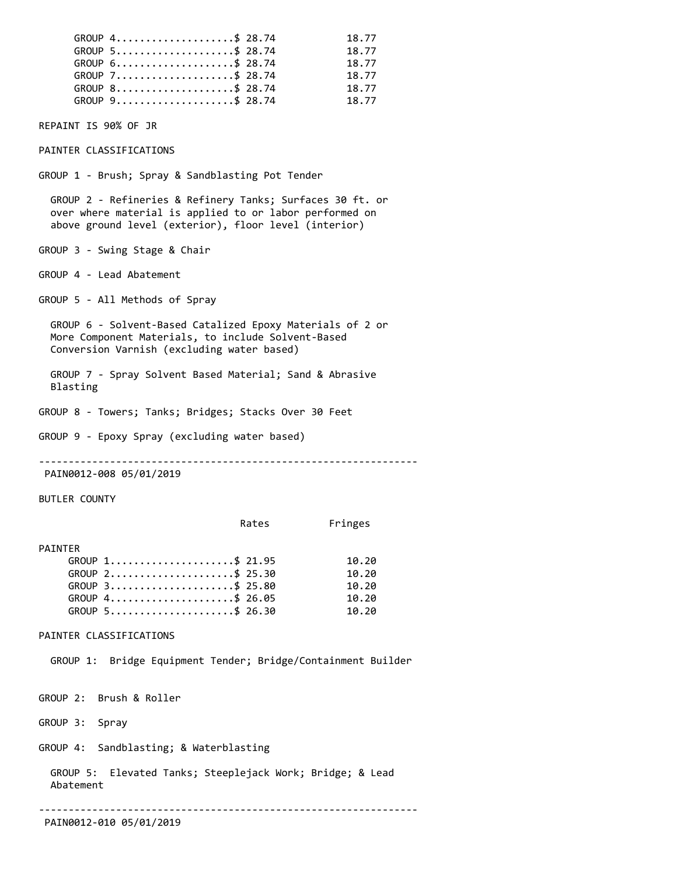| GROUP 4\$ 28.74<br>GROUP 5\$ 28.74<br>GROUP 6\$ 28.74<br>GROUP 7\$ 28.74<br>GROUP 8\$ 28.74<br>GROUP 9\$ 28.74                                                                | 18.77<br>18.77<br>18.77<br>18.77<br>18.77<br>18.77 |
|-------------------------------------------------------------------------------------------------------------------------------------------------------------------------------|----------------------------------------------------|
| REPAINT IS 90% OF JR                                                                                                                                                          |                                                    |
| PAINTER CLASSIFICATIONS                                                                                                                                                       |                                                    |
| GROUP 1 - Brush; Spray & Sandblasting Pot Tender                                                                                                                              |                                                    |
| GROUP 2 - Refineries & Refinery Tanks; Surfaces 30 ft. or<br>over where material is applied to or labor performed on<br>above ground level (exterior), floor level (interior) |                                                    |
| GROUP 3 - Swing Stage & Chair                                                                                                                                                 |                                                    |
| GROUP 4 - Lead Abatement                                                                                                                                                      |                                                    |
| GROUP 5 - All Methods of Spray                                                                                                                                                |                                                    |
| GROUP 6 - Solvent-Based Catalized Epoxy Materials of 2 or<br>More Component Materials, to include Solvent-Based<br>Conversion Varnish (excluding water based)                 |                                                    |
| GROUP 7 - Spray Solvent Based Material; Sand & Abrasive<br>Blasting                                                                                                           |                                                    |
| GROUP 8 - Towers; Tanks; Bridges; Stacks Over 30 Feet                                                                                                                         |                                                    |
| GROUP 9 - Epoxy Spray (excluding water based)                                                                                                                                 |                                                    |
|                                                                                                                                                                               |                                                    |

PAIN0012-008 05/01/2019

BUTLER COUNTY

### PAINTER

| GROUP 1\$ 21.95 | 10.20 |
|-----------------|-------|
| GROUP 2\$ 25.30 | 10.20 |
| GROUP 3\$ 25.80 | 10.20 |
| GROUP 4\$ 26.05 | 10.20 |
| GROUP 5\$ 26.30 | 10.20 |

## PAINTER CLASSIFICATIONS

GROUP 1: Bridge Equipment Tender; Bridge/Containment Builder

GROUP 2: Brush & Roller

GROUP 3: Spray

GROUP 4: Sandblasting; & Waterblasting

 GROUP 5: Elevated Tanks; Steeplejack Work; Bridge; & Lead Abatement

----------------------------------------------------------------

PAIN0012-010 05/01/2019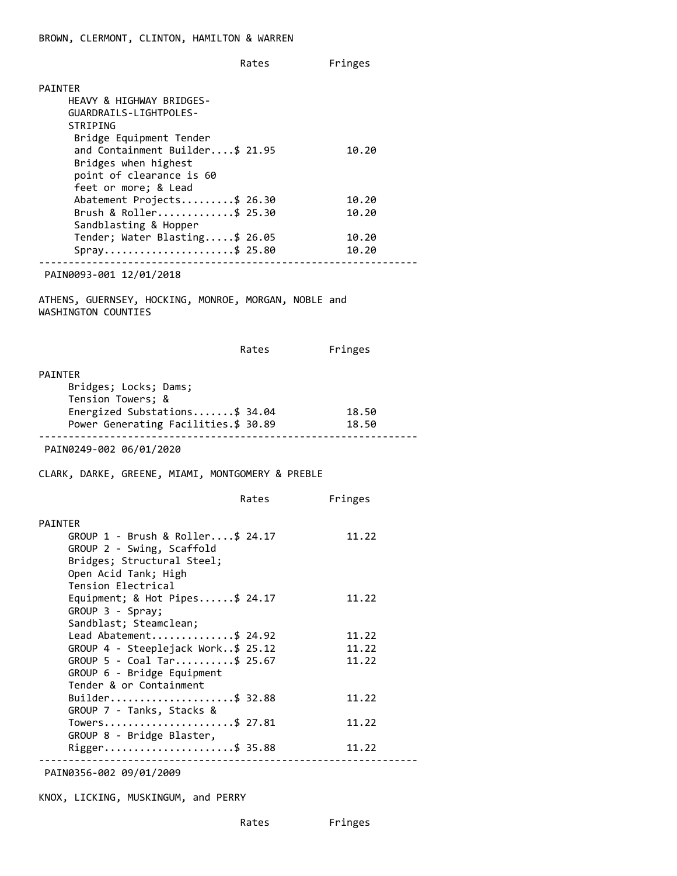Rates Fringes PAINTER HEAVY & HIGHWAY BRIDGES- GUARDRAILS-LIGHTPOLES- STRIPING Bridge Equipment Tender and Containment Builder....\$ 21.95 10.20 Bridges when highest point of clearance is 60 feet or more; & Lead Abatement Projects.........\$ 26.30 10.20 Brush & Roller.............\$ 25.30 10.20 Sandblasting & Hopper Tender; Water Blasting.....\$ 26.05 10.20 Spray..........................\$ 25.80 10.20 ---------------------------------------------------------------- PAIN0093-001 12/01/2018 ATHENS, GUERNSEY, HOCKING, MONROE, MORGAN, NOBLE and WASHINGTON COUNTIES Rates Fringes PAINTER Bridges; Locks; Dams; Tension Towers; & Energized Substations.......\$ 34.04 18.50 Power Generating Facilities.\$ 30.89 18.50 ---------------------------------------------------------------- PAIN0249-002 06/01/2020 CLARK, DARKE, GREENE, MIAMI, MONTGOMERY & PREBLE Rates Fringes PAINTER GROUP 1 - Brush & Roller....\$ 24.17 11.22 GROUP 2 - Swing, Scaffold Bridges; Structural Steel; Open Acid Tank; High Tension Electrical Equipment; & Hot Pipes......\$ 24.17 11.22 GROUP 3 - Spray; Sandblast; Steamclean; Lead Abatement...............\$ 24.92 11.22 GROUP 4 - Steeplejack Work..\$ 25.12 11.22 GROUP 5 - Coal Tar..........\$ 25.67 11.22 GROUP 6 - Bridge Equipment Tender & or Containment Builder.......................\$ 32.88 11.22 GROUP 7 - Tanks, Stacks & Towers...........................\$ 27.81 11.22 GROUP 8 - Bridge Blaster, Rigger.........................\$ 35.88 11.22 ----------------------------------------------------------------

PAIN0356-002 09/01/2009

KNOX, LICKING, MUSKINGUM, and PERRY

Rates Fringes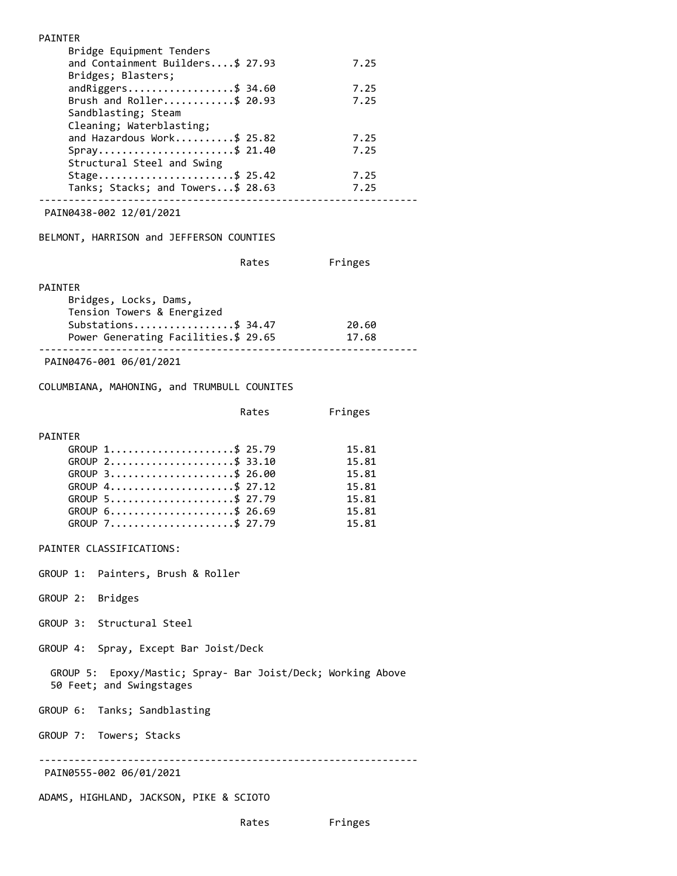| <b>PAINTER</b>                                                                          |                |
|-----------------------------------------------------------------------------------------|----------------|
| Bridge Equipment Tenders<br>and Containment Builders\$ 27.93                            | 7.25           |
| Bridges; Blasters;                                                                      |                |
| $and Riggers$ \$ 34.60                                                                  | 7.25           |
| Brush and Roller\$ 20.93                                                                | 7.25           |
| Sandblasting; Steam<br>Cleaning; Waterblasting;                                         |                |
| and Hazardous Work\$ 25.82                                                              | 7.25           |
| Spray\$ 21.40<br>Structural Steel and Swing                                             | 7.25           |
| Stage\$ 25.42                                                                           | 7.25           |
| Tanks; Stacks; and Towers\$ 28.63                                                       | 7.25           |
| PAIN0438-002 12/01/2021                                                                 |                |
| BELMONT, HARRISON and JEFFERSON COUNTIES                                                |                |
| Rates                                                                                   | Fringes        |
| PAINTER                                                                                 |                |
| Bridges, Locks, Dams,<br>Tension Towers & Energized                                     |                |
| Substations\$ 34.47                                                                     | 20.60          |
| Power Generating Facilities.\$ 29.65                                                    | 17.68          |
| PAIN0476-001 06/01/2021                                                                 |                |
| COLUMBIANA, MAHONING, and TRUMBULL COUNITES                                             |                |
| Rates                                                                                   | Fringes        |
|                                                                                         |                |
| PAINTER<br>GROUP 1\$ 25.79                                                              | 15.81          |
| GROUP 2\$ 33.10                                                                         | 15.81          |
| GROUP 3\$ 26.00<br>GROUP 4\$ 27.12                                                      | 15.81<br>15.81 |
| GROUP 5\$ 27.79                                                                         | 15.81          |
| GROUP 6\$ 26.69                                                                         | 15.81          |
| GROUP 7\$ 27.79                                                                         | 15.81          |
| PAINTER CLASSIFICATIONS:                                                                |                |
| GROUP 1: Painters, Brush & Roller                                                       |                |
| GROUP 2: Bridges                                                                        |                |
| GROUP 3: Structural Steel                                                               |                |
| GROUP 4: Spray, Except Bar Joist/Deck                                                   |                |
| GROUP 5: Epoxy/Mastic; Spray- Bar Joist/Deck; Working Above<br>50 Feet; and Swingstages |                |
| GROUP 6: Tanks; Sandblasting                                                            |                |
| GROUP 7: Towers; Stacks                                                                 |                |
| PAIN0555-002 06/01/2021                                                                 |                |
| ADAMS, HIGHLAND, JACKSON, PIKE & SCIOTO                                                 |                |
| Rates                                                                                   | Fringes        |
|                                                                                         |                |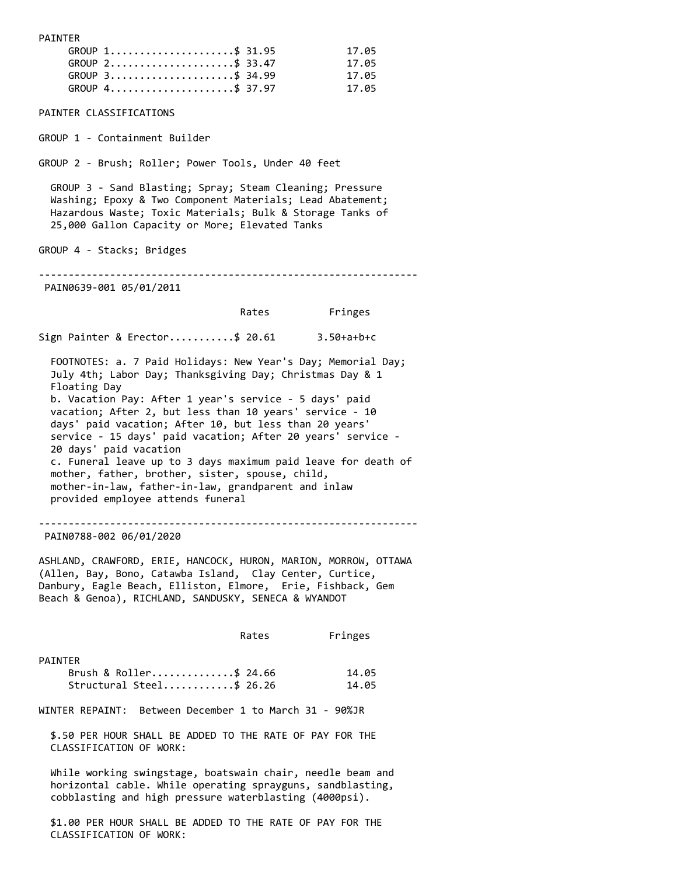GROUP 1.....................\$ 31.95 17.05 GROUP 2.....................\$ 33.47 17.05 GROUP 3.....................\$ 34.99 17.05 GROUP 4.....................\$ 37.97 17.05 PAINTER CLASSIFICATIONS GROUP 1 - Containment Builder GROUP 2 - Brush; Roller; Power Tools, Under 40 feet GROUP 3 - Sand Blasting; Spray; Steam Cleaning; Pressure Washing; Epoxy & Two Component Materials; Lead Abatement; Hazardous Waste; Toxic Materials; Bulk & Storage Tanks of 25,000 Gallon Capacity or More; Elevated Tanks GROUP 4 - Stacks; Bridges ---------------------------------------------------------------- PAIN0639-001 05/01/2011 Rates Fringes Sign Painter & Erector...........\$ 20.61 3.50+a+b+c FOOTNOTES: a. 7 Paid Holidays: New Year's Day; Memorial Day; July 4th; Labor Day; Thanksgiving Day; Christmas Day & 1 Floating Day b. Vacation Pay: After 1 year's service - 5 days' paid vacation; After 2, but less than 10 years' service - 10 days' paid vacation; After 10, but less than 20 years' service - 15 days' paid vacation; After 20 years' service - 20 days' paid vacation c. Funeral leave up to 3 days maximum paid leave for death of mother, father, brother, sister, spouse, child, mother-in-law, father-in-law, grandparent and inlaw provided employee attends funeral ---------------------------------------------------------------- PAIN0788-002 06/01/2020 ASHLAND, CRAWFORD, ERIE, HANCOCK, HURON, MARION, MORROW, OTTAWA (Allen, Bay, Bono, Catawba Island, Clay Center, Curtice, Danbury, Eagle Beach, Elliston, Elmore, Erie, Fishback, Gem Beach & Genoa), RICHLAND, SANDUSKY, SENECA & WYANDOT Rates Fringes PAINTER Brush & Roller..............\$ 24.66 14.05 Structural Steel............\$ 26.26 14.05 WINTER REPAINT: Between December 1 to March 31 - 90%JR \$.50 PER HOUR SHALL BE ADDED TO THE RATE OF PAY FOR THE CLASSIFICATION OF WORK: While working swingstage, boatswain chair, needle beam and horizontal cable. While operating sprayguns, sandblasting, cobblasting and high pressure waterblasting (4000psi). \$1.00 PER HOUR SHALL BE ADDED TO THE RATE OF PAY FOR THE CLASSIFICATION OF WORK:

PAINTER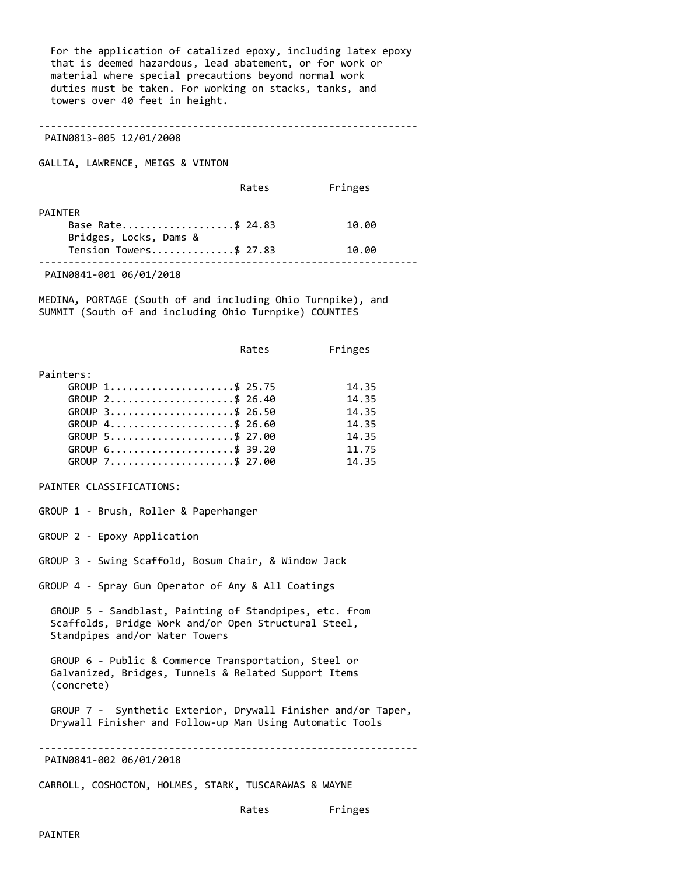For the application of catalized epoxy, including latex epoxy that is deemed hazardous, lead abatement, or for work or material where special precautions beyond normal work duties must be taken. For working on stacks, tanks, and towers over 40 feet in height.

----------------------------------------------------------------

PAIN0813-005 12/01/2008

GALLIA, LAWRENCE, MEIGS & VINTON

|                        | Rates | Fringes |  |
|------------------------|-------|---------|--|
| PATNTFR                |       |         |  |
| Base Rate\$ 24.83      |       | 10.00   |  |
| Bridges, Locks, Dams & |       |         |  |
| Tension Towers\$ 27.83 |       | 10.00   |  |
|                        |       |         |  |

PAIN0841-001 06/01/2018

MEDINA, PORTAGE (South of and including Ohio Turnpike), and SUMMIT (South of and including Ohio Turnpike) COUNTIES

|           |                 | Rates | Fringes |
|-----------|-----------------|-------|---------|
| Painters: |                 |       |         |
|           | GROUP 1\$ 25.75 |       | 14.35   |
|           | GROUP 2\$ 26.40 |       | 14.35   |
|           | GROUP 3\$ 26.50 |       | 14.35   |
|           | GROUP 4\$ 26.60 |       | 14.35   |
|           | GROUP 5\$ 27.00 |       | 14.35   |
|           | GROUP 6\$ 39.20 |       | 11.75   |
|           | GROUP 7\$ 27.00 |       | 14.35   |

PAINTER CLASSIFICATIONS:

GROUP 1 - Brush, Roller & Paperhanger

GROUP 2 - Epoxy Application

GROUP 3 - Swing Scaffold, Bosum Chair, & Window Jack

GROUP 4 - Spray Gun Operator of Any & All Coatings

 GROUP 5 - Sandblast, Painting of Standpipes, etc. from Scaffolds, Bridge Work and/or Open Structural Steel, Standpipes and/or Water Towers

 GROUP 6 - Public & Commerce Transportation, Steel or Galvanized, Bridges, Tunnels & Related Support Items (concrete)

 GROUP 7 - Synthetic Exterior, Drywall Finisher and/or Taper, Drywall Finisher and Follow-up Man Using Automatic Tools

----------------------------------------------------------------

PAIN0841-002 06/01/2018

CARROLL, COSHOCTON, HOLMES, STARK, TUSCARAWAS & WAYNE

Rates Fringes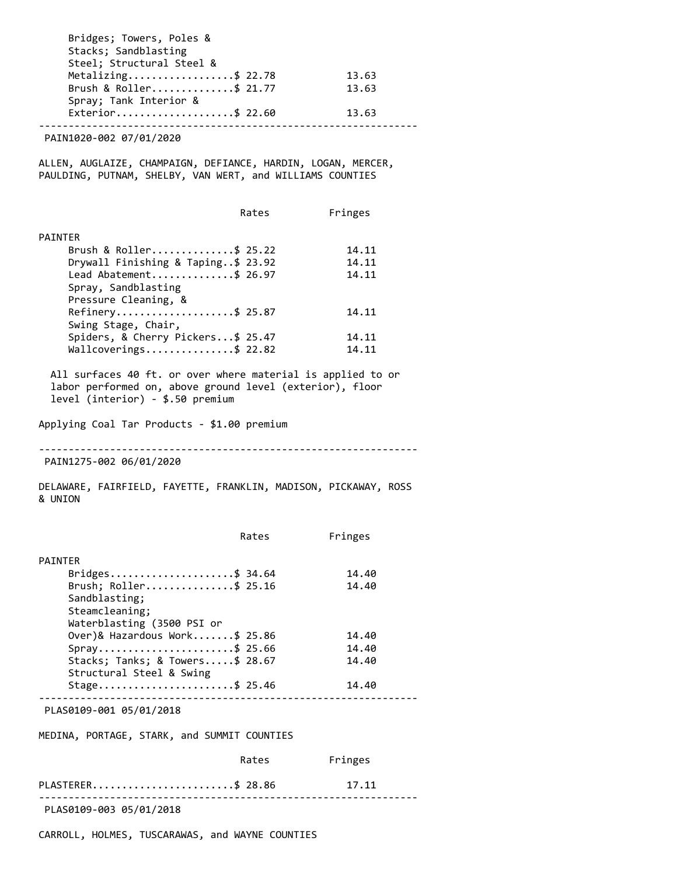| Bridges; Towers, Poles &  |       |
|---------------------------|-------|
| Stacks; Sandblasting      |       |
| Steel; Structural Steel & |       |
| Metalizing\$ 22.78        | 13.63 |
| Brush & Roller\$ 21.77    | 13.63 |
| Spray; Tank Interior &    |       |
| Exterior\$ 22.60          | 13.63 |

PAIN1020-002 07/01/2020

ALLEN, AUGLAIZE, CHAMPAIGN, DEFIANCE, HARDIN, LOGAN, MERCER, PAULDING, PUTNAM, SHELBY, VAN WERT, and WILLIAMS COUNTIES

| Rates                              | Fringes |
|------------------------------------|---------|
| PAINTER                            |         |
| Brush & Roller\$ 25.22             | 14.11   |
| Drywall Finishing & Taping\$ 23.92 | 14.11   |
| Lead Abatement\$ 26.97             | 14.11   |
| Spray, Sandblasting                |         |
| Pressure Cleaning, &               |         |
| Refinery\$ 25.87                   | 14.11   |
| Swing Stage, Chair,                |         |
| Spiders, & Cherry Pickers\$ 25.47  | 14.11   |
| Wallcoverings\$ 22.82              | 14.11   |

 All surfaces 40 ft. or over where material is applied to or labor performed on, above ground level (exterior), floor level (interior) - \$.50 premium

Applying Coal Tar Products - \$1.00 premium

----------------------------------------------------------------

PAIN1275-002 06/01/2020

DELAWARE, FAIRFIELD, FAYETTE, FRANKLIN, MADISON, PICKAWAY, ROSS & UNION

|                                             | Rates | Fringes |
|---------------------------------------------|-------|---------|
| <b>PAINTER</b>                              |       |         |
| Bridges\$ 34.64                             |       | 14.40   |
| Brush; Roller\$ 25.16                       |       | 14.40   |
| Sandblasting;                               |       |         |
| Steamcleaning;                              |       |         |
| Waterblasting (3500 PSI or                  |       |         |
| Over)& Hazardous Work\$ 25.86               |       | 14.40   |
| Spray\$ 25.66                               |       | 14.40   |
| Stacks; Tanks; & Towers $\frac{2}{3}$ 28.67 |       | 14.40   |
| Structural Steel & Swing                    |       |         |
| Stage\$ 25.46                               |       | 14.40   |
|                                             |       |         |

PLAS0109-001 05/01/2018

MEDINA, PORTAGE, STARK, and SUMMIT COUNTIES

|                         | Rates | Fringes |  |
|-------------------------|-------|---------|--|
| PLASTERER\$ 28.86       |       | 17.11   |  |
| PLAS0109-003 05/01/2018 |       |         |  |

CARROLL, HOLMES, TUSCARAWAS, and WAYNE COUNTIES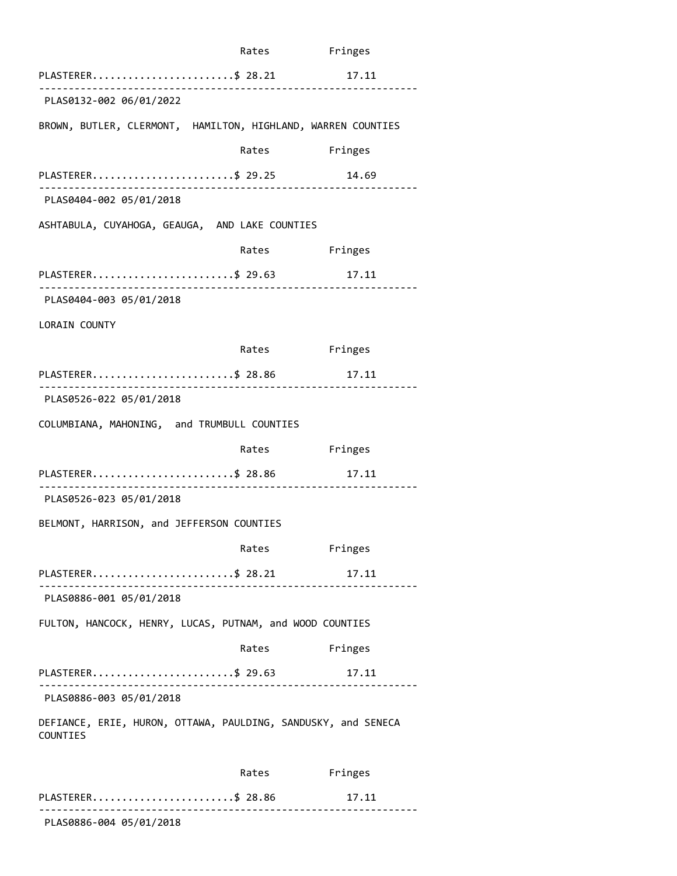|                                                                           | Rates Fringes |         |
|---------------------------------------------------------------------------|---------------|---------|
| PLASTERER\$ 28.21<br>. 2000 2000 2000 2000 2000 2000 2                    |               | 17.11   |
| PLAS0132-002 06/01/2022                                                   |               |         |
| BROWN, BUTLER, CLERMONT, HAMILTON, HIGHLAND, WARREN COUNTIES              |               |         |
|                                                                           | Rates         | Fringes |
| PLASTERER\$ 29.25<br>.                                                    |               | 14.69   |
| PLAS0404-002 05/01/2018                                                   |               |         |
| ASHTABULA, CUYAHOGA, GEAUGA, AND LAKE COUNTIES                            |               |         |
|                                                                           | Rates Fringes |         |
| PLASTERER\$ 29.63                                                         |               | 17.11   |
| PLAS0404-003 05/01/2018                                                   |               |         |
| LORAIN COUNTY                                                             |               |         |
|                                                                           | Rates         | Fringes |
| PLASTERER\$ 28.86<br>. <b>.</b> .                                         |               | 17.11   |
| PLAS0526-022 05/01/2018                                                   |               |         |
| COLUMBIANA, MAHONING, and TRUMBULL COUNTIES                               |               |         |
|                                                                           | Rates Fringes |         |
| PLASTERER\$ 28.86                                                         |               | 17.11   |
| PLAS0526-023 05/01/2018                                                   |               |         |
| BELMONT, HARRISON, and JEFFERSON COUNTIES                                 |               |         |
|                                                                           | Rates         | Fringes |
| PLASTERER\$ 28.21                                                         |               | 17.11   |
| PLAS0886-001 05/01/2018                                                   |               |         |
| FULTON, HANCOCK, HENRY, LUCAS, PUTNAM, and WOOD COUNTIES                  |               |         |
|                                                                           | Rates         | Fringes |
| PLASTERER\$ 29.63                                                         |               | 17.11   |
| PLAS0886-003 05/01/2018                                                   |               |         |
| DEFIANCE, ERIE, HURON, OTTAWA, PAULDING, SANDUSKY, and SENECA<br>COUNTIES |               |         |
|                                                                           | Rates         | Fringes |
| PLASTERER\$ 28.86                                                         |               | 17.11   |

PLAS0886-004 05/01/2018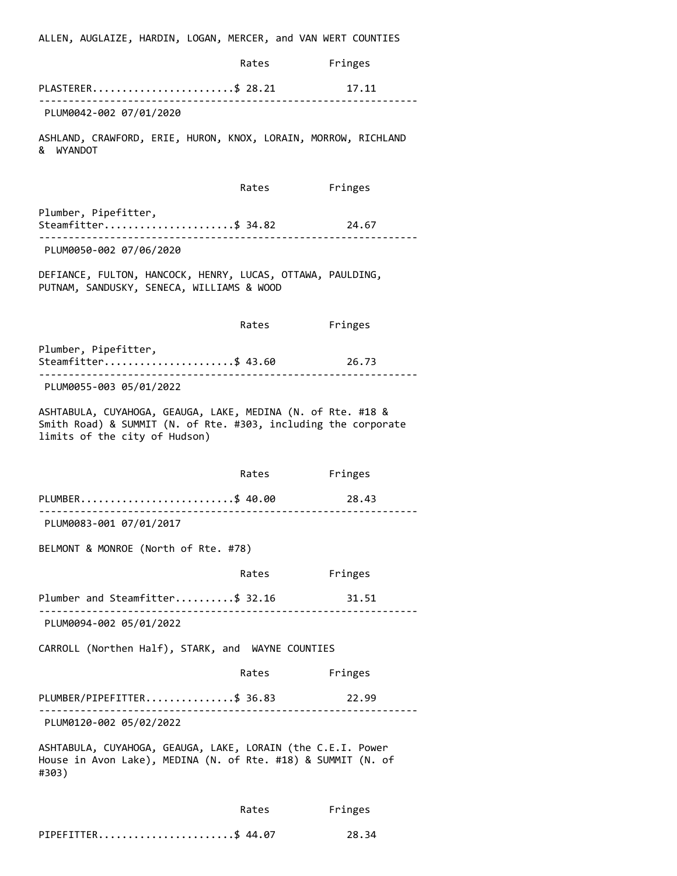ALLEN, AUGLAIZE, HARDIN, LOGAN, MERCER, and VAN WERT COUNTIES Rates Fringes PLASTERER..............................\$ 28.21 17.11 ---------------------------------------------------------------- PLUM0042-002 07/01/2020 ASHLAND, CRAWFORD, ERIE, HURON, KNOX, LORAIN, MORROW, RICHLAND & WYANDOT Rates Fringes Plumber, Pipefitter, Steamfitter.......................\$ 34.82 24.67 ---------------------------------------------------------------- PLUM0050-002 07/06/2020 DEFIANCE, FULTON, HANCOCK, HENRY, LUCAS, OTTAWA, PAULDING, PUTNAM, SANDUSKY, SENECA, WILLIAMS & WOOD Rates Fringes Plumber, Pipefitter, Steamfitter.......................\$ 43.60 26.73 ---------------------------------------------------------------- PLUM0055-003 05/01/2022 ASHTABULA, CUYAHOGA, GEAUGA, LAKE, MEDINA (N. of Rte. #18 & Smith Road) & SUMMIT (N. of Rte. #303, including the corporate limits of the city of Hudson) Rates Fringes PLUMBER................................\$ 40.00 28.43 ---------------------------------------------------------------- PLUM0083-001 07/01/2017 BELMONT & MONROE (North of Rte. #78) Rates Fringes Plumber and Steamfitter..........\$ 32.16 31.51 ---------------------------------------------------------------- PLUM0094-002 05/01/2022 CARROLL (Northen Half), STARK, and WAYNE COUNTIES Rates Fringes PLUMBER/PIPEFITTER...............\$ 36.83 22.99 ---------------------------------------------------------------- PLUM0120-002 05/02/2022 ASHTABULA, CUYAHOGA, GEAUGA, LAKE, LORAIN (the C.E.I. Power House in Avon Lake), MEDINA (N. of Rte. #18) & SUMMIT (N. of #303) Rates Fringes

PIPEFITTER.............................\$ 44.07 28.34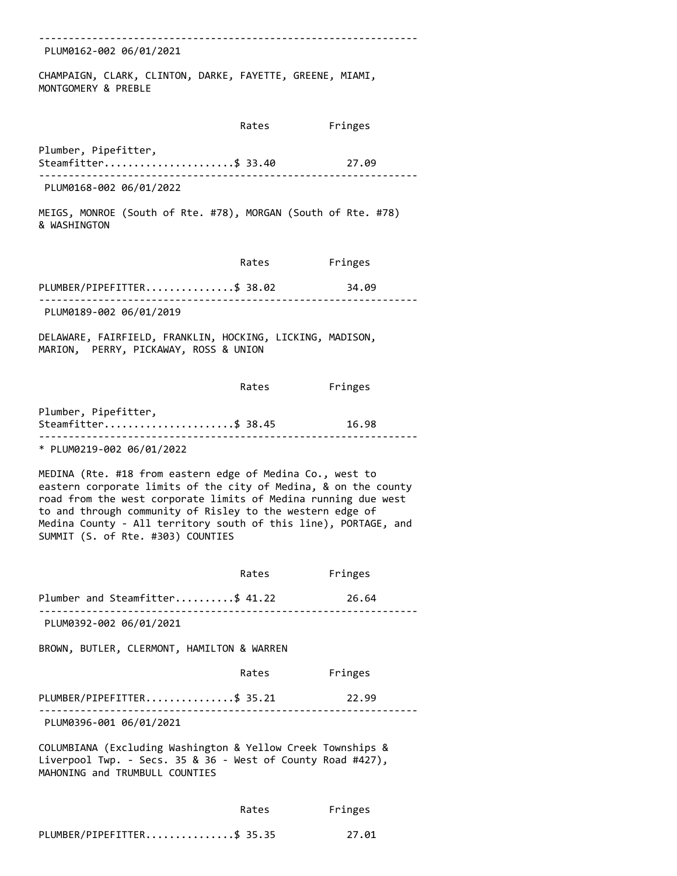----------------------------------------------------------------

PLUM0162-002 06/01/2021

CHAMPAIGN, CLARK, CLINTON, DARKE, FAYETTE, GREENE, MIAMI, MONTGOMERY & PREBLE

Rates Fringes

Plumber, Pipefitter,

Steamfitter......................\$ 33.40 27.09 ----------------------------------------------------------------

PLUM0168-002 06/01/2022

MEIGS, MONROE (South of Rte. #78), MORGAN (South of Rte. #78) & WASHINGTON

Rates Fringes

PLUMBER/PIPEFITTER...............\$ 38.02 34.09 ---------------------------------------------------------------- PLUM0189-002 06/01/2019

DELAWARE, FAIRFIELD, FRANKLIN, HOCKING, LICKING, MADISON, MARION, PERRY, PICKAWAY, ROSS & UNION

|                      | Rates | Fringes |  |
|----------------------|-------|---------|--|
| Plumber, Pipefitter, |       |         |  |
| Steamfitter\$ 38.45  |       | 16.98   |  |
|                      |       |         |  |

\* PLUM0219-002 06/01/2022

MEDINA (Rte. #18 from eastern edge of Medina Co., west to eastern corporate limits of the city of Medina, & on the county road from the west corporate limits of Medina running due west to and through community of Risley to the western edge of Medina County - All territory south of this line), PORTAGE, and SUMMIT (S. of Rte. #303) COUNTIES

 Rates Fringes Plumber and Steamfitter..........\$ 41.22 26.64 ---------------------------------------------------------------- PLUM0392-002 06/01/2021 BROWN, BUTLER, CLERMONT, HAMILTON & WARREN Rates Fringes PLUMBER/PIPEFITTER...............\$ 35.21 22.99 ---------------------------------------------------------------- PLUM0396-001 06/01/2021 COLUMBIANA (Excluding Washington & Yellow Creek Townships & Liverpool Twp. - Secs. 35 & 36 - West of County Road #427), MAHONING and TRUMBULL COUNTIES Rates Fringes

| PLUMBER/PIPEFITTER\$ 35.35 |  | 27.01 |
|----------------------------|--|-------|
|----------------------------|--|-------|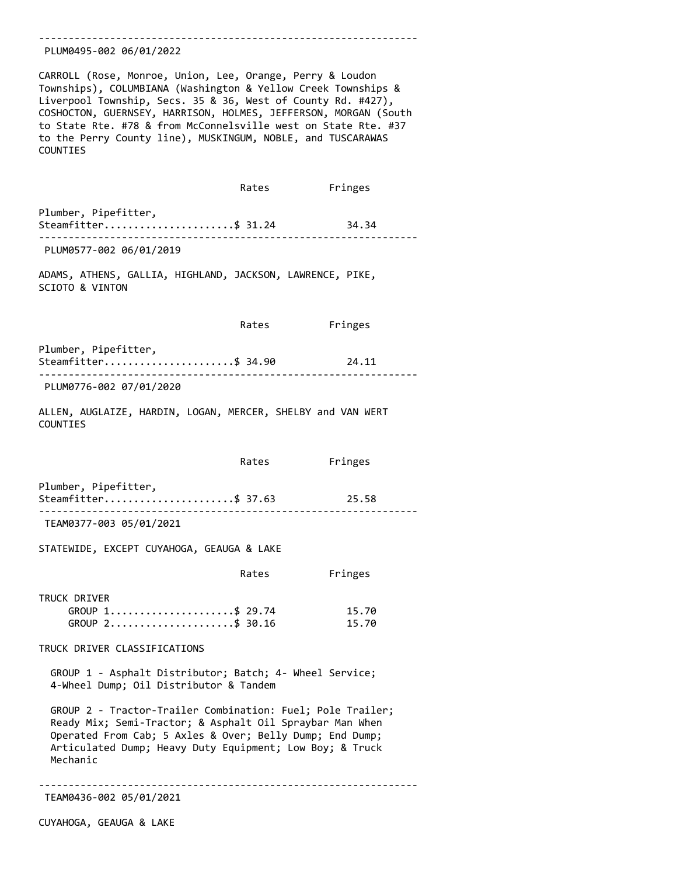#### ---------------------------------------------------------------- PLUM0495-002 06/01/2022

CARROLL (Rose, Monroe, Union, Lee, Orange, Perry & Loudon Townships), COLUMBIANA (Washington & Yellow Creek Townships & Liverpool Township, Secs. 35 & 36, West of County Rd. #427), COSHOCTON, GUERNSEY, HARRISON, HOLMES, JEFFERSON, MORGAN (South to State Rte. #78 & from McConnelsville west on State Rte. #37 to the Perry County line), MUSKINGUM, NOBLE, and TUSCARAWAS COUNTIES

 Rates Fringes Plumber, Pipefitter, Steamfitter.......................\$ 31.24 34.34 ---------------------------------------------------------------- PLUM0577-002 06/01/2019

ADAMS, ATHENS, GALLIA, HIGHLAND, JACKSON, LAWRENCE, PIKE, SCIOTO & VINTON

Rates Fringes

Plumber, Pipefitter, Steamfitter.......................\$ 34.90 24.11 ---------------------------------------------------------------- PLUM0776-002 07/01/2020

ALLEN, AUGLAIZE, HARDIN, LOGAN, MERCER, SHELBY and VAN WERT COUNTIES

|                      | Rates | Fringes |  |
|----------------------|-------|---------|--|
| Plumber, Pipefitter, |       |         |  |
| Steamfitter\$ 37.63  |       | 25.58   |  |
|                      |       |         |  |

TEAM0377-003 05/01/2021

STATEWIDE, EXCEPT CUYAHOGA, GEAUGA & LAKE

|                   | Rates | Fringes |
|-------------------|-------|---------|
| TRUCK DRIVER      |       |         |
| GROUP 1\$ 29.74   |       | 15.70   |
| $GROUP$ 2\$ 30.16 |       | 15.70   |

TRUCK DRIVER CLASSIFICATIONS

 GROUP 1 - Asphalt Distributor; Batch; 4- Wheel Service; 4-Wheel Dump; Oil Distributor & Tandem

 GROUP 2 - Tractor-Trailer Combination: Fuel; Pole Trailer; Ready Mix; Semi-Tractor; & Asphalt Oil Spraybar Man When Operated From Cab; 5 Axles & Over; Belly Dump; End Dump; Articulated Dump; Heavy Duty Equipment; Low Boy; & Truck Mechanic

---------------------------------------------------------------- TEAM0436-002 05/01/2021

CUYAHOGA, GEAUGA & LAKE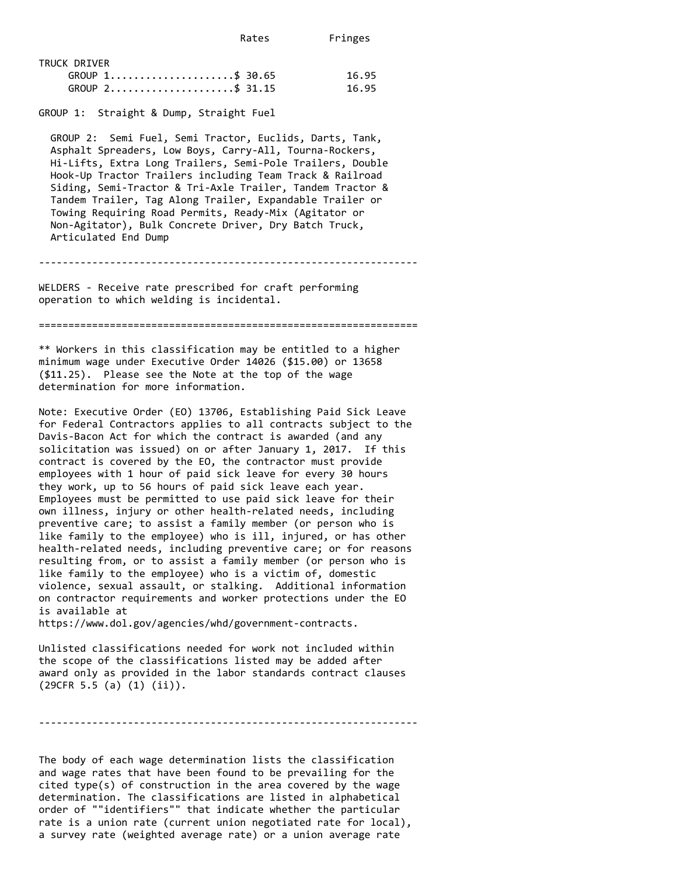Rates Fringes

| TRUCK DRIVER      |       |
|-------------------|-------|
| GROUP 1\$ 30.65   | 16.95 |
| $GROUP$ 2\$ 31.15 | 16.95 |

GROUP 1: Straight & Dump, Straight Fuel

 GROUP 2: Semi Fuel, Semi Tractor, Euclids, Darts, Tank, Asphalt Spreaders, Low Boys, Carry-All, Tourna-Rockers, Hi-Lifts, Extra Long Trailers, Semi-Pole Trailers, Double Hook-Up Tractor Trailers including Team Track & Railroad Siding, Semi-Tractor & Tri-Axle Trailer, Tandem Tractor & Tandem Trailer, Tag Along Trailer, Expandable Trailer or Towing Requiring Road Permits, Ready-Mix (Agitator or Non-Agitator), Bulk Concrete Driver, Dry Batch Truck, Articulated End Dump

----------------------------------------------------------------

WELDERS - Receive rate prescribed for craft performing operation to which welding is incidental.

================================================================

\*\* Workers in this classification may be entitled to a higher minimum wage under Executive Order 14026 (\$15.00) or 13658 (\$11.25). Please see the Note at the top of the wage determination for more information.

Note: Executive Order (EO) 13706, Establishing Paid Sick Leave for Federal Contractors applies to all contracts subject to the Davis-Bacon Act for which the contract is awarded (and any solicitation was issued) on or after January 1, 2017. If this contract is covered by the EO, the contractor must provide employees with 1 hour of paid sick leave for every 30 hours they work, up to 56 hours of paid sick leave each year. Employees must be permitted to use paid sick leave for their own illness, injury or other health-related needs, including preventive care; to assist a family member (or person who is like family to the employee) who is ill, injured, or has other health-related needs, including preventive care; or for reasons resulting from, or to assist a family member (or person who is like family to the employee) who is a victim of, domestic violence, sexual assault, or stalking. Additional information on contractor requirements and worker protections under the EO is available at

https://www.dol.gov/agencies/whd/government-contracts.

Unlisted classifications needed for work not included within the scope of the classifications listed may be added after award only as provided in the labor standards contract clauses (29CFR 5.5 (a) (1) (ii)).

----------------------------------------------------------------

The body of each wage determination lists the classification and wage rates that have been found to be prevailing for the cited type(s) of construction in the area covered by the wage determination. The classifications are listed in alphabetical order of ""identifiers"" that indicate whether the particular rate is a union rate (current union negotiated rate for local), a survey rate (weighted average rate) or a union average rate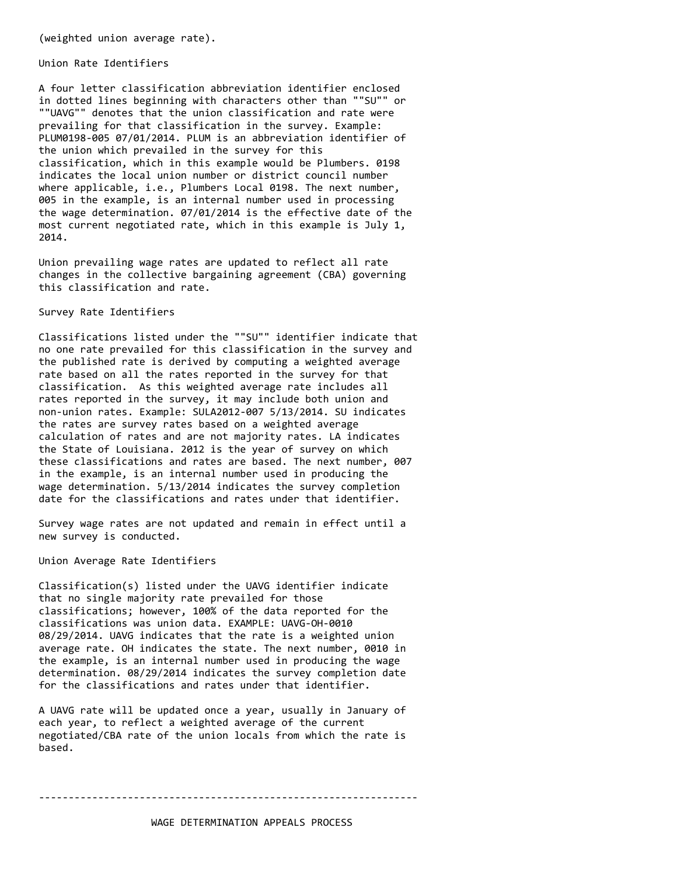(weighted union average rate).

Union Rate Identifiers

A four letter classification abbreviation identifier enclosed in dotted lines beginning with characters other than ""SU"" or ""UAVG"" denotes that the union classification and rate were prevailing for that classification in the survey. Example: PLUM0198-005 07/01/2014. PLUM is an abbreviation identifier of the union which prevailed in the survey for this classification, which in this example would be Plumbers. 0198 indicates the local union number or district council number where applicable, i.e., Plumbers Local 0198. The next number, 005 in the example, is an internal number used in processing the wage determination. 07/01/2014 is the effective date of the most current negotiated rate, which in this example is July 1, 2014.

Union prevailing wage rates are updated to reflect all rate changes in the collective bargaining agreement (CBA) governing this classification and rate.

Survey Rate Identifiers

Classifications listed under the ""SU"" identifier indicate that no one rate prevailed for this classification in the survey and the published rate is derived by computing a weighted average rate based on all the rates reported in the survey for that classification. As this weighted average rate includes all rates reported in the survey, it may include both union and non-union rates. Example: SULA2012-007 5/13/2014. SU indicates the rates are survey rates based on a weighted average calculation of rates and are not majority rates. LA indicates the State of Louisiana. 2012 is the year of survey on which these classifications and rates are based. The next number, 007 in the example, is an internal number used in producing the wage determination. 5/13/2014 indicates the survey completion date for the classifications and rates under that identifier.

Survey wage rates are not updated and remain in effect until a new survey is conducted.

Union Average Rate Identifiers

Classification(s) listed under the UAVG identifier indicate that no single majority rate prevailed for those classifications; however, 100% of the data reported for the classifications was union data. EXAMPLE: UAVG-OH-0010 08/29/2014. UAVG indicates that the rate is a weighted union average rate. OH indicates the state. The next number, 0010 in the example, is an internal number used in producing the wage determination. 08/29/2014 indicates the survey completion date for the classifications and rates under that identifier.

A UAVG rate will be updated once a year, usually in January of each year, to reflect a weighted average of the current negotiated/CBA rate of the union locals from which the rate is based.

----------------------------------------------------------------